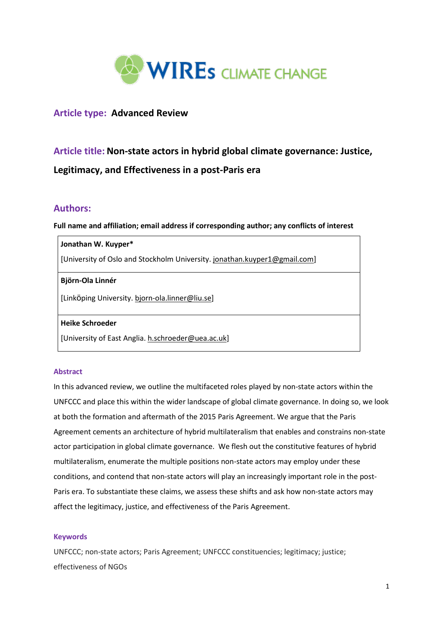

# **Article type: Advanced Review**

# **Article title: Non-state actors in hybrid global climate governance: Justice, Legitimacy, and Effectiveness in a post-Paris era**

## **Authors:**

**Full name and affiliation; email address if corresponding author; any conflicts of interest**

## **Jonathan W. Kuyper\***

[University of Oslo and Stockholm University. [jonathan.kuyper1@gmail.com\]](mailto:jonathan.kuyper1@gmail.com)

## **Björn-Ola Linnér**

[Linköping University. [bjorn-ola.linner@liu.se\]](mailto:bjorn-ola.linner@liu.se)

## **Heike Schroeder**

[University of East Anglia. [h.schroeder@uea.ac.uk\]](mailto:h.schroeder@uea.ac.uk)

## **Abstract**

In this advanced review, we outline the multifaceted roles played by non-state actors within the UNFCCC and place this within the wider landscape of global climate governance. In doing so, we look at both the formation and aftermath of the 2015 Paris Agreement. We argue that the Paris Agreement cements an architecture of hybrid multilateralism that enables and constrains non-state actor participation in global climate governance. We flesh out the constitutive features of hybrid multilateralism, enumerate the multiple positions non-state actors may employ under these conditions, and contend that non-state actors will play an increasingly important role in the post-Paris era. To substantiate these claims, we assess these shifts and ask how non-state actors may affect the legitimacy, justice, and effectiveness of the Paris Agreement.

## **Keywords**

UNFCCC; non-state actors; Paris Agreement; UNFCCC constituencies; legitimacy; justice; effectiveness of NGOs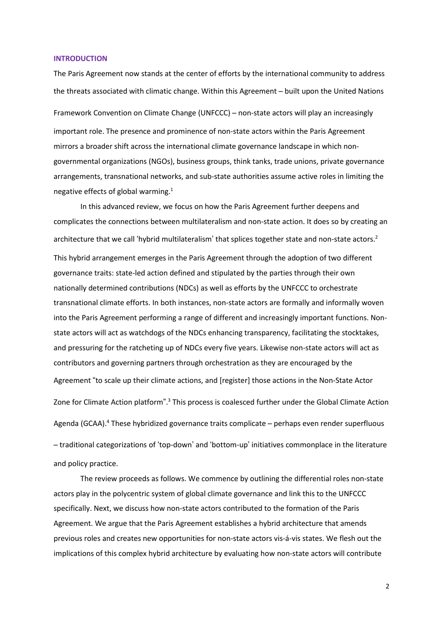#### **INTRODUCTION**

The Paris Agreement now stands at the center of efforts by the international community to address the threats associated with climatic change. Within this Agreement – built upon the United Nations

Framework Convention on Climate Change (UNFCCC) – non-state actors will play an increasingly important role. The presence and prominence of non-state actors within the Paris Agreement mirrors a broader shift across the international climate governance landscape in which nongovernmental organizations (NGOs), business groups, think tanks, trade unions, private governance arrangements, transnational networks, and sub-state authorities assume active roles in limiting the negative effects of global warming.<sup>1</sup>

In this advanced review, we focus on how the Paris Agreement further deepens and complicates the connections between multilateralism and non-state action. It does so by creating an architecture that we call 'hybrid multilateralism' that splices together state and non-state actors. 2 This hybrid arrangement emerges in the Paris Agreement through the adoption of two different governance traits: state-led action defined and stipulated by the parties through their own nationally determined contributions (NDCs) as well as efforts by the UNFCCC to orchestrate transnational climate efforts. In both instances, non-state actors are formally and informally woven into the Paris Agreement performing a range of different and increasingly important functions. Nonstate actors will act as watchdogs of the NDCs enhancing transparency, facilitating the stocktakes, and pressuring for the ratcheting up of NDCs every five years. Likewise non-state actors will act as contributors and governing partners through orchestration as they are encouraged by the Agreement "to scale up their climate actions, and [register] those actions in the Non-State Actor Zone for Climate Action platform".<sup>3</sup> This process is coalesced further under the Global Climate Action Agenda (GCAA).<sup>4</sup> These hybridized governance traits complicate – perhaps even render superfluous – traditional categorizations of 'top-down' and 'bottom-up' initiatives commonplace in the literature and policy practice.

The review proceeds as follows. We commence by outlining the differential roles non-state actors play in the polycentric system of global climate governance and link this to the UNFCCC specifically. Next, we discuss how non-state actors contributed to the formation of the Paris Agreement. We argue that the Paris Agreement establishes a hybrid architecture that amends previous roles and creates new opportunities for non-state actors vis-á-vis states. We flesh out the implications of this complex hybrid architecture by evaluating how non-state actors will contribute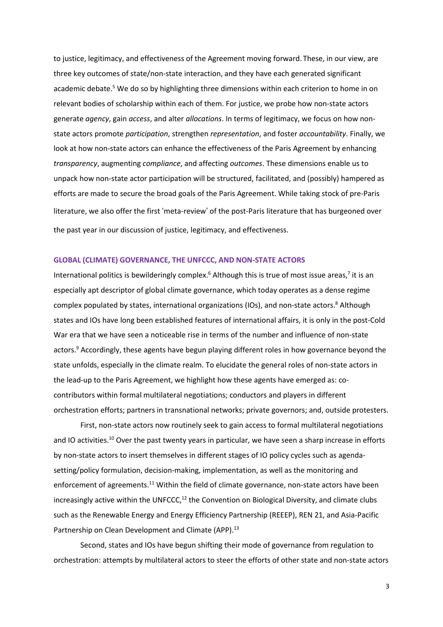to justice, legitimacy, and effectiveness of the Agreement moving forward. These, in our view, are three key outcomes of state/non-state interaction, and they have each generated significant academic debate.<sup>5</sup> We do so by highlighting three dimensions within each criterion to home in on relevant bodies of scholarship within each of them. For justice, we probe how non-state actors generate *agency*, gain *access*, and alter *allocations*. In terms of legitimacy, we focus on how nonstate actors promote *participation*, strengthen *representation*, and foster *accountability*. Finally, we look at how non-state actors can enhance the effectiveness of the Paris Agreement by enhancing *transparency*, augmenting *compliance*, and affecting *outcomes*. These dimensions enable us to unpack how non-state actor participation will be structured, facilitated, and (possibly) hampered as efforts are made to secure the broad goals of the Paris Agreement. While taking stock of pre-Paris literature, we also offer the first 'meta-review' of the post-Paris literature that has burgeoned over the past year in our discussion of justice, legitimacy, and effectiveness.

## **GLOBAL (CLIMATE) GOVERNANCE, THE UNFCCC, AND NON-STATE ACTORS**

International politics is bewilderingly complex.<sup>6</sup> Although this is true of most issue areas,<sup>7</sup> it is an especially apt descriptor of global climate governance, which today operates as a dense regime complex populated by states, international organizations (IOs), and non-state actors. <sup>8</sup> Although states and IOs have long been established features of international affairs, it is only in the post-Cold War era that we have seen a noticeable rise in terms of the number and influence of non-state actors.<sup>9</sup> Accordingly, these agents have begun playing different roles in how governance beyond the state unfolds, especially in the climate realm. To elucidate the general roles of non-state actors in the lead-up to the Paris Agreement, we highlight how these agents have emerged as: cocontributors within formal multilateral negotiations; conductors and players in different orchestration efforts; partners in transnational networks; private governors; and, outside protesters.

First, non-state actors now routinely seek to gain access to formal multilateral negotiations and IO activities.<sup>10</sup> Over the past twenty years in particular, we have seen a sharp increase in efforts by non-state actors to insert themselves in different stages of IO policy cycles such as agendasetting/policy formulation, decision-making, implementation, as well as the monitoring and enforcement of agreements.<sup>11</sup> Within the field of climate governance, non-state actors have been increasingly active within the UNFCCC, $12$  the Convention on Biological Diversity, and climate clubs such as the Renewable Energy and Energy Efficiency Partnership (REEEP), REN 21, and Asia-Pacific Partnership on Clean Development and Climate (APP).<sup>13</sup>

Second, states and IOs have begun shifting their mode of governance from regulation to orchestration: attempts by multilateral actors to steer the efforts of other state and non-state actors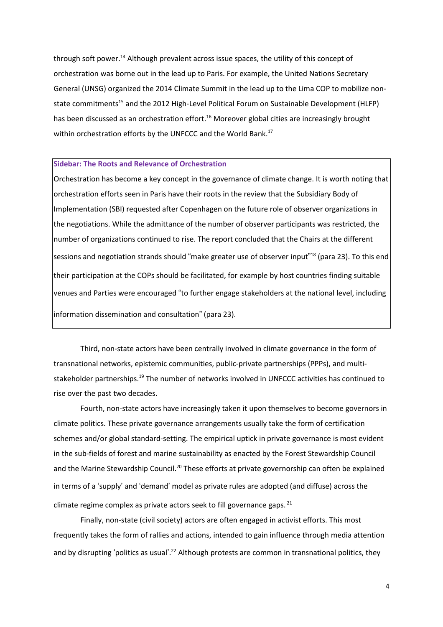through soft power. <sup>14</sup> Although prevalent across issue spaces, the utility of this concept of orchestration was borne out in the lead up to Paris. For example, the United Nations Secretary General (UNSG) organized the 2014 Climate Summit in the lead up to the Lima COP to mobilize nonstate commitments<sup>15</sup> and the 2012 High-Level Political Forum on Sustainable Development (HLFP) has been discussed as an orchestration effort. <sup>16</sup> Moreover global cities are increasingly brought within orchestration efforts by the UNFCCC and the World Bank.<sup>17</sup>

#### **Sidebar: The Roots and Relevance of Orchestration**

Orchestration has become a key concept in the governance of climate change. It is worth noting that orchestration efforts seen in Paris have their roots in the review that the Subsidiary Body of Implementation (SBI) requested after Copenhagen on the future role of observer organizations in the negotiations. While the admittance of the number of observer participants was restricted, the number of organizations continued to rise. The report concluded that the Chairs at the different sessions and negotiation strands should "make greater use of observer input" <sup>18</sup> (para 23). To this end their participation at the COPs should be facilitated, for example by host countries finding suitable venues and Parties were encouraged "to further engage stakeholders at the national level, including information dissemination and consultation" (para 23).

Third, non-state actors have been centrally involved in climate governance in the form of transnational networks, epistemic communities, public-private partnerships (PPPs), and multistakeholder partnerships.<sup>19</sup> The number of networks involved in UNFCCC activities has continued to rise over the past two decades.

Fourth, non-state actors have increasingly taken it upon themselves to become governors in climate politics. These private governance arrangements usually take the form of certification schemes and/or global standard-setting. The empirical uptick in private governance is most evident in the sub-fields of forest and marine sustainability as enacted by the Forest Stewardship Council and the Marine Stewardship Council.<sup>20</sup> These efforts at private governorship can often be explained in terms of a 'supply' and 'demand' model as private rules are adopted (and diffuse) across the climate regime complex as private actors seek to fill governance gaps.<sup>21</sup>

Finally, non-state (civil society) actors are often engaged in activist efforts. This most frequently takes the form of rallies and actions, intended to gain influence through media attention and by disrupting 'politics as usual'.<sup>22</sup> Although protests are common in transnational politics, they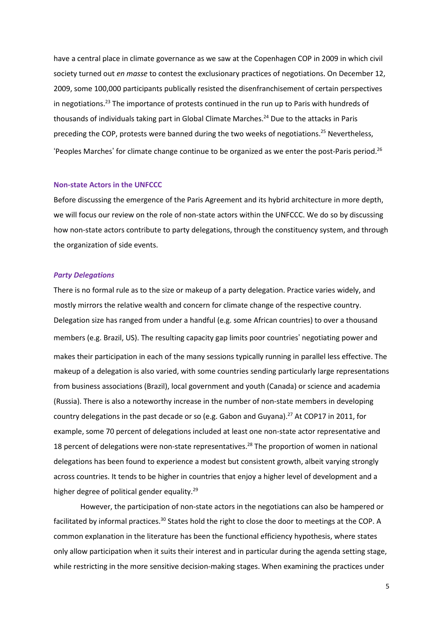have a central place in climate governance as we saw at the Copenhagen COP in 2009 in which civil society turned out *en masse* to contest the exclusionary practices of negotiations. On December 12, 2009, some 100,000 participants publically resisted the disenfranchisement of certain perspectives in negotiations.<sup>23</sup> The importance of protests continued in the run up to Paris with hundreds of thousands of individuals taking part in Global Climate Marches.<sup>24</sup> Due to the attacks in Paris preceding the COP, protests were banned during the two weeks of negotiations. <sup>25</sup> Nevertheless, 'Peoples Marches' for climate change continue to be organized as we enter the post-Paris period.<sup>26</sup>

## **Non-state Actors in the UNFCCC**

Before discussing the emergence of the Paris Agreement and its hybrid architecture in more depth, we will focus our review on the role of non-state actors within the UNFCCC. We do so by discussing how non-state actors contribute to party delegations, through the constituency system, and through the organization of side events.

#### *Party Delegations*

There is no formal rule as to the size or makeup of a party delegation. Practice varies widely, and mostly mirrors the relative wealth and concern for climate change of the respective country. Delegation size has ranged from under a handful (e.g. some African countries) to over a thousand members (e.g. Brazil, US). The resulting capacity gap limits poor countries' negotiating power and makes their participation in each of the many sessions typically running in parallel less effective. The makeup of a delegation is also varied, with some countries sending particularly large representations from business associations (Brazil), local government and youth (Canada) or science and academia (Russia). There is also a noteworthy increase in the number of non-state members in developing country delegations in the past decade or so (e.g. Gabon and Guyana).<sup>27</sup> At COP17 in 2011, for example, some 70 percent of delegations included at least one non-state actor representative and 18 percent of delegations were non-state representatives.<sup>28</sup> The proportion of women in national delegations has been found to experience a modest but consistent growth, albeit varying strongly across countries. It tends to be higher in countries that enjoy a higher level of development and a higher degree of political gender equality.<sup>29</sup>

However, the participation of non-state actors in the negotiations can also be hampered or facilitated by informal practices.<sup>30</sup> States hold the right to close the door to meetings at the COP. A common explanation in the literature has been the functional efficiency hypothesis, where states only allow participation when it suits their interest and in particular during the agenda setting stage, while restricting in the more sensitive decision-making stages. When examining the practices under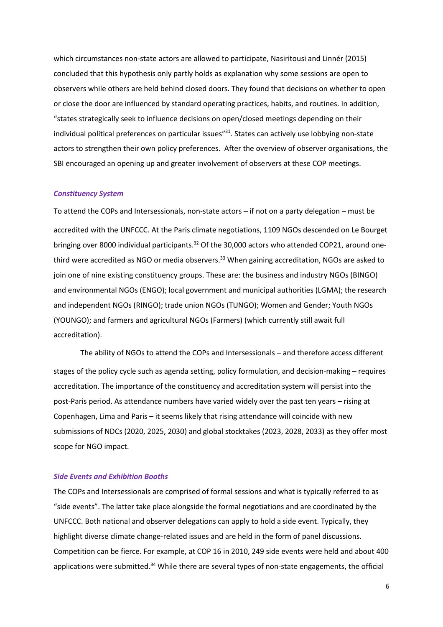which circumstances non-state actors are allowed to participate, Nasiritousi and Linnér (2015) concluded that this hypothesis only partly holds as explanation why some sessions are open to observers while others are held behind closed doors. They found that decisions on whether to open or close the door are influenced by standard operating practices, habits, and routines. In addition, "states strategically seek to influence decisions on open/closed meetings depending on their individual political preferences on particular issues"<sup>31</sup>. States can actively use lobbying non-state actors to strengthen their own policy preferences. After the overview of observer organisations, the SBI encouraged an opening up and greater involvement of observers at these COP meetings.

#### *Constituency System*

To attend the COPs and Intersessionals, non-state actors – if not on a party delegation – must be accredited with the UNFCCC. At the Paris climate negotiations, 1109 NGOs descended on Le Bourget bringing over 8000 individual participants.<sup>32</sup> Of the 30,000 actors who attended COP21, around onethird were accredited as NGO or media observers.<sup>33</sup> When gaining accreditation, NGOs are asked to join one of nine existing constituency groups. These are: the business and industry NGOs (BINGO) and environmental NGOs (ENGO); local government and municipal authorities (LGMA); the research and independent NGOs (RINGO); trade union NGOs (TUNGO); Women and Gender; Youth NGOs (YOUNGO); and farmers and agricultural NGOs (Farmers) (which currently still await full accreditation).

The ability of NGOs to attend the COPs and Intersessionals – and therefore access different stages of the policy cycle such as agenda setting, policy formulation, and decision-making – requires accreditation. The importance of the constituency and accreditation system will persist into the post-Paris period. As attendance numbers have varied widely over the past ten years – rising at Copenhagen, Lima and Paris – it seems likely that rising attendance will coincide with new submissions of NDCs (2020, 2025, 2030) and global stocktakes (2023, 2028, 2033) as they offer most scope for NGO impact.

#### *Side Events and Exhibition Booths*

The COPs and Intersessionals are comprised of formal sessions and what is typically referred to as "side events". The latter take place alongside the formal negotiations and are coordinated by the UNFCCC. Both national and observer delegations can apply to hold a side event. Typically, they highlight diverse climate change-related issues and are held in the form of panel discussions. Competition can be fierce. For example, at COP 16 in 2010, 249 side events were held and about 400 applications were submitted.<sup>34</sup> While there are several types of non-state engagements, the official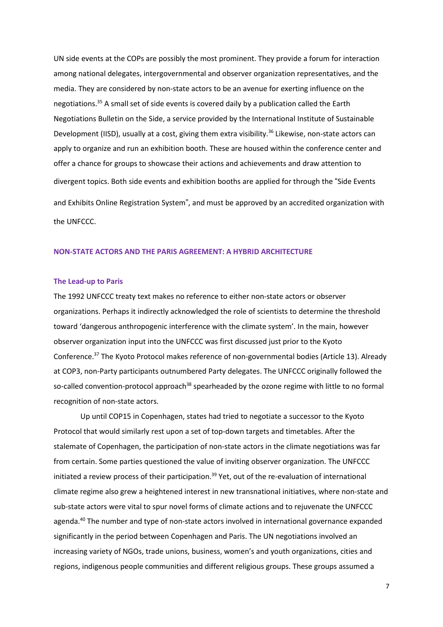UN side events at the COPs are possibly the most prominent. They provide a forum for interaction among national delegates, intergovernmental and observer organization representatives, and the media. They are considered by non-state actors to be an avenue for exerting influence on the negotiations.<sup>35</sup> A small set of side events is covered daily by a publication called the Earth Negotiations Bulletin on the Side, a service provided by the International Institute of Sustainable Development (IISD), usually at a cost, giving them extra visibility.<sup>36</sup> Likewise, non-state actors can apply to organize and run an exhibition booth. These are housed within the conference center and offer a chance for groups to showcase their actions and achievements and draw attention to divergent topics. Both side events and exhibition booths are applied for through the "Side Events and Exhibits Online Registration System", and must be approved by an accredited organization with the UNFCCC.

## **NON-STATE ACTORS AND THE PARIS AGREEMENT: A HYBRID ARCHITECTURE**

#### **The Lead-up to Paris**

The 1992 UNFCCC treaty text makes no reference to either non-state actors or observer organizations. Perhaps it indirectly acknowledged the role of scientists to determine the threshold toward 'dangerous anthropogenic interference with the climate system'. In the main, however observer organization input into the UNFCCC was first discussed just prior to the Kyoto Conference.<sup>37</sup> The Kyoto Protocol makes reference of non-governmental bodies (Article 13). Already at COP3, non-Party participants outnumbered Party delegates. The UNFCCC originally followed the so-called convention-protocol approach<sup>38</sup> spearheaded by the ozone regime with little to no formal recognition of non-state actors.

Up until COP15 in Copenhagen, states had tried to negotiate a successor to the Kyoto Protocol that would similarly rest upon a set of top-down targets and timetables. After the stalemate of Copenhagen, the participation of non-state actors in the climate negotiations was far from certain. Some parties questioned the value of inviting observer organization. The UNFCCC initiated a review process of their participation.<sup>39</sup> Yet, out of the re-evaluation of international climate regime also grew a heightened interest in new transnational initiatives, where non-state and sub-state actors were vital to spur novel forms of climate actions and to rejuvenate the UNFCCC agenda.<sup>40</sup> The number and type of non-state actors involved in international governance expanded significantly in the period between Copenhagen and Paris. The UN negotiations involved an increasing variety of NGOs, trade unions, business, women's and youth organizations, cities and regions, indigenous people communities and different religious groups. These groups assumed a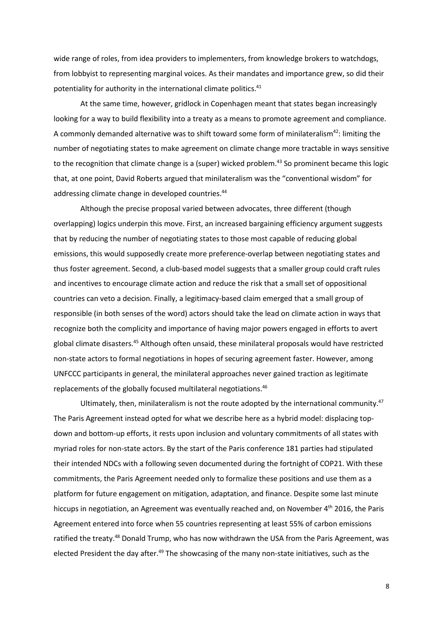wide range of roles, from idea providers to implementers, from knowledge brokers to watchdogs, from lobbyist to representing marginal voices. As their mandates and importance grew, so did their potentiality for authority in the international climate politics.<sup>41</sup>

At the same time, however, gridlock in Copenhagen meant that states began increasingly looking for a way to build flexibility into a treaty as a means to promote agreement and compliance. A commonly demanded alternative was to shift toward some form of minilateralism<sup>42</sup>: limiting the number of negotiating states to make agreement on climate change more tractable in ways sensitive to the recognition that climate change is a (super) wicked problem. <sup>43</sup> So prominent became this logic that, at one point, David Roberts argued that minilateralism was the "conventional wisdom" for addressing climate change in developed countries.<sup>44</sup>

Although the precise proposal varied between advocates, three different (though overlapping) logics underpin this move. First, an increased bargaining efficiency argument suggests that by reducing the number of negotiating states to those most capable of reducing global emissions, this would supposedly create more preference-overlap between negotiating states and thus foster agreement. Second, a club-based model suggests that a smaller group could craft rules and incentives to encourage climate action and reduce the risk that a small set of oppositional countries can veto a decision. Finally, a legitimacy-based claim emerged that a small group of responsible (in both senses of the word) actors should take the lead on climate action in ways that recognize both the complicity and importance of having major powers engaged in efforts to avert global climate disasters.<sup>45</sup> Although often unsaid, these minilateral proposals would have restricted non-state actors to formal negotiations in hopes of securing agreement faster. However, among UNFCCC participants in general, the minilateral approaches never gained traction as legitimate replacements of the globally focused multilateral negotiations. 46

Ultimately, then, minilateralism is not the route adopted by the international community. $47$ The Paris Agreement instead opted for what we describe here as a hybrid model: displacing topdown and bottom-up efforts, it rests upon inclusion and voluntary commitments of all states with myriad roles for non-state actors. By the start of the Paris conference 181 parties had stipulated their intended NDCs with a following seven documented during the fortnight of COP21. With these commitments, the Paris Agreement needed only to formalize these positions and use them as a platform for future engagement on mitigation, adaptation, and finance. Despite some last minute hiccups in negotiation, an Agreement was eventually reached and, on November 4<sup>th</sup> 2016, the Paris Agreement entered into force when 55 countries representing at least 55% of carbon emissions ratified the treaty.<sup>48</sup> Donald Trump, who has now withdrawn the USA from the Paris Agreement, was elected President the day after.<sup>49</sup> The showcasing of the many non-state initiatives, such as the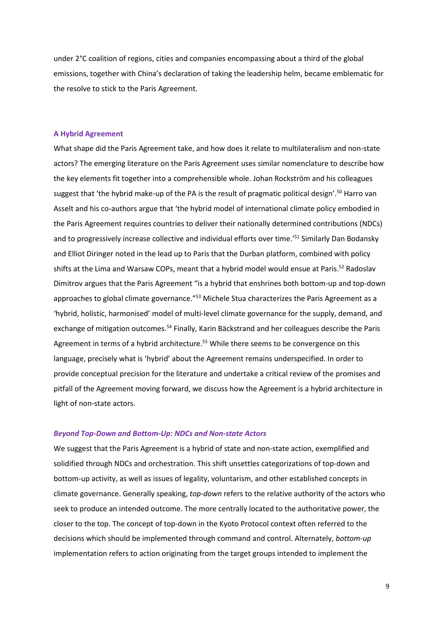under 2°C coalition of regions, cities and companies encompassing about a third of the global emissions, together with China's declaration of taking the leadership helm, became emblematic for the resolve to stick to the Paris Agreement.

## **A Hybrid Agreement**

What shape did the Paris Agreement take, and how does it relate to multilateralism and non-state actors? The emerging literature on the Paris Agreement uses similar nomenclature to describe how the key elements fit together into a comprehensible whole. Johan Rockström and his colleagues suggest that 'the hybrid make-up of the PA is the result of pragmatic political design'.<sup>50</sup> Harro van Asselt and his co-authors argue that 'the hybrid model of international climate policy embodied in the Paris Agreement requires countries to deliver their nationally determined contributions (NDCs) and to progressively increase collective and individual efforts over time.<sup>'51</sup> Similarly Dan Bodansky and Elliot Diringer noted in the lead up to Paris that the Durban platform, combined with policy shifts at the Lima and Warsaw COPs, meant that a hybrid model would ensue at Paris.<sup>52</sup> Radoslav Dimitrov argues that the Paris Agreement "is a hybrid that enshrines both bottom-up and top-down approaches to global climate governance."<sup>53</sup> Michele Stua characterizes the Paris Agreement as a 'hybrid, holistic, harmonised' model of multi-level climate governance for the supply, demand, and exchange of mitigation outcomes.<sup>54</sup> Finally, Karin Bäckstrand and her colleagues describe the Paris Agreement in terms of a hybrid architecture.<sup>55</sup> While there seems to be convergence on this language, precisely what is 'hybrid' about the Agreement remains underspecified. In order to provide conceptual precision for the literature and undertake a critical review of the promises and pitfall of the Agreement moving forward, we discuss how the Agreement is a hybrid architecture in light of non-state actors.

#### *Beyond Top-Down and Bottom-Up: NDCs and Non-state Actors*

We suggest that the Paris Agreement is a hybrid of state and non-state action, exemplified and solidified through NDCs and orchestration. This shift unsettles categorizations of top-down and bottom-up activity, as well as issues of legality, voluntarism, and other established concepts in climate governance. Generally speaking, *top-down* refers to the relative authority of the actors who seek to produce an intended outcome. The more centrally located to the authoritative power, the closer to the top. The concept of top-down in the Kyoto Protocol context often referred to the decisions which should be implemented through command and control. Alternately, *bottom-up* implementation refers to action originating from the target groups intended to implement the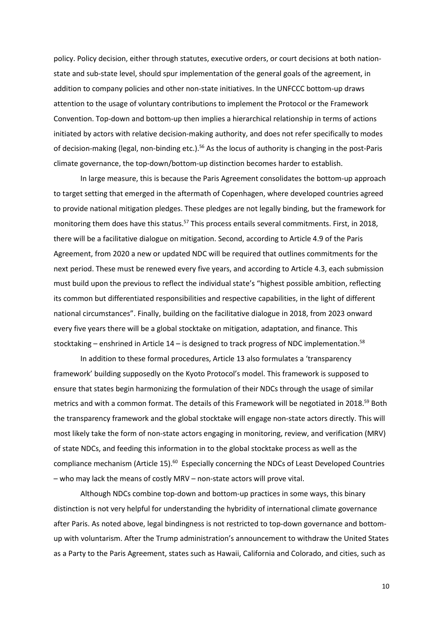policy. Policy decision, either through statutes, executive orders, or court decisions at both nationstate and sub-state level, should spur implementation of the general goals of the agreement, in addition to company policies and other non-state initiatives. In the UNFCCC bottom-up draws attention to the usage of voluntary contributions to implement the Protocol or the Framework Convention. Top-down and bottom-up then implies a hierarchical relationship in terms of actions initiated by actors with relative decision-making authority, and does not refer specifically to modes of decision-making (legal, non-binding etc.).<sup>56</sup> As the locus of authority is changing in the post-Paris climate governance, the top-down/bottom-up distinction becomes harder to establish.

In large measure, this is because the Paris Agreement consolidates the bottom-up approach to target setting that emerged in the aftermath of Copenhagen, where developed countries agreed to provide national mitigation pledges. These pledges are not legally binding, but the framework for monitoring them does have this status.<sup>57</sup> This process entails several commitments. First, in 2018, there will be a facilitative dialogue on mitigation. Second, according to Article 4.9 of the Paris Agreement, from 2020 a new or updated NDC will be required that outlines commitments for the next period. These must be renewed every five years, and according to Article 4.3, each submission must build upon the previous to reflect the individual state's "highest possible ambition, reflecting its common but differentiated responsibilities and respective capabilities, in the light of different national circumstances". Finally, building on the facilitative dialogue in 2018, from 2023 onward every five years there will be a global stocktake on mitigation, adaptation, and finance. This stocktaking – enshrined in Article  $14$  – is designed to track progress of NDC implementation.<sup>58</sup>

In addition to these formal procedures, Article 13 also formulates a 'transparency framework' building supposedly on the Kyoto Protocol's model. This framework is supposed to ensure that states begin harmonizing the formulation of their NDCs through the usage of similar metrics and with a common format. The details of this Framework will be negotiated in 2018.<sup>59</sup> Both the transparency framework and the global stocktake will engage non-state actors directly. This will most likely take the form of non-state actors engaging in monitoring, review, and verification (MRV) of state NDCs, and feeding this information in to the global stocktake process as well as the compliance mechanism (Article 15).<sup>60</sup> Especially concerning the NDCs of Least Developed Countries – who may lack the means of costly MRV – non-state actors will prove vital.

Although NDCs combine top-down and bottom-up practices in some ways, this binary distinction is not very helpful for understanding the hybridity of international climate governance after Paris. As noted above, legal bindingness is not restricted to top-down governance and bottomup with voluntarism. After the Trump administration's announcement to withdraw the United States as a Party to the Paris Agreement, states such as Hawaii, California and Colorado, and cities, such as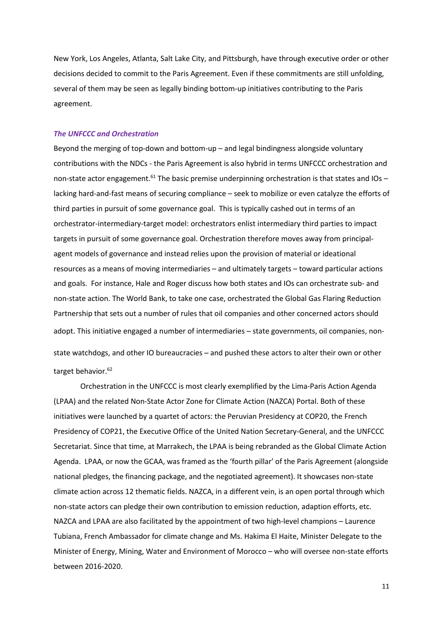New York, Los Angeles, Atlanta, Salt Lake City, and Pittsburgh, have through executive order or other decisions decided to commit to the Paris Agreement. Even if these commitments are still unfolding, several of them may be seen as legally binding bottom-up initiatives contributing to the Paris agreement.

#### *The UNFCCC and Orchestration*

Beyond the merging of top-down and bottom-up – and legal bindingness alongside voluntary contributions with the NDCs - the Paris Agreement is also hybrid in terms UNFCCC orchestration and non-state actor engagement.<sup>61</sup> The basic premise underpinning orchestration is that states and IOs – lacking hard-and-fast means of securing compliance – seek to mobilize or even catalyze the efforts of third parties in pursuit of some governance goal. This is typically cashed out in terms of an orchestrator-intermediary-target model: orchestrators enlist intermediary third parties to impact targets in pursuit of some governance goal. Orchestration therefore moves away from principalagent models of governance and instead relies upon the provision of material or ideational resources as a means of moving intermediaries – and ultimately targets – toward particular actions and goals. For instance, Hale and Roger discuss how both states and IOs can orchestrate sub- and non-state action. The World Bank, to take one case, orchestrated the Global Gas Flaring Reduction Partnership that sets out a number of rules that oil companies and other concerned actors should adopt. This initiative engaged a number of intermediaries – state governments, oil companies, nonstate watchdogs, and other IO bureaucracies – and pushed these actors to alter their own or other target behavior.<sup>62</sup>

Orchestration in the UNFCCC is most clearly exemplified by the Lima-Paris Action Agenda (LPAA) and the related Non-State Actor Zone for Climate Action (NAZCA) Portal. Both of these initiatives were launched by a quartet of actors: the Peruvian Presidency at COP20, the French Presidency of COP21, the Executive Office of the United Nation Secretary-General, and the UNFCCC Secretariat. Since that time, at Marrakech, the LPAA is being rebranded as the Global Climate Action Agenda. LPAA, or now the GCAA, was framed as the 'fourth pillar' of the Paris Agreement (alongside national pledges, the financing package, and the negotiated agreement). It showcases non-state climate action across 12 thematic fields. NAZCA, in a different vein, is an open portal through which non-state actors can pledge their own contribution to emission reduction, adaption efforts, etc. NAZCA and LPAA are also facilitated by the appointment of two high-level champions – Laurence Tubiana, French Ambassador for climate change and Ms. Hakima El Haite, Minister Delegate to the Minister of Energy, Mining, Water and Environment of Morocco – who will oversee non-state efforts between 2016-2020.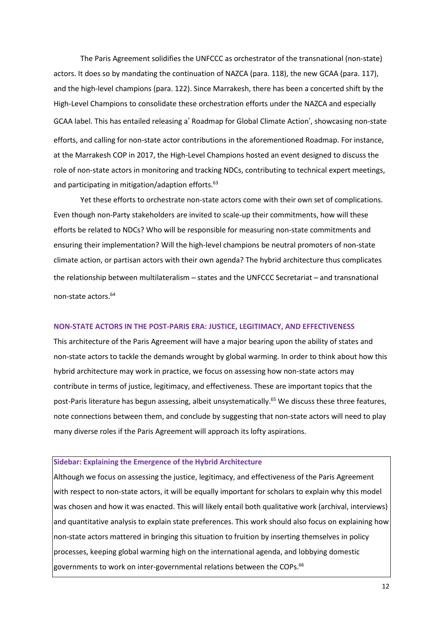The Paris Agreement solidifies the UNFCCC as orchestrator of the transnational (non-state) actors. It does so by mandating the continuation of NAZCA (para. 118), the new GCAA (para. 117), and the high-level champions (para. 122). Since Marrakesh, there has been a concerted shift by the High-Level Champions to consolidate these orchestration efforts under the NAZCA and especially GCAA label. This has entailed releasing a' Roadmap for Global Climate Action', showcasing non-state efforts, and calling for non-state actor contributions in the aforementioned Roadmap. For instance, at the Marrakesh COP in 2017, the High-Level Champions hosted an event designed to discuss the role of non-state actors in monitoring and tracking NDCs, contributing to technical expert meetings, and participating in mitigation/adaption efforts.<sup>63</sup>

Yet these efforts to orchestrate non-state actors come with their own set of complications. Even though non-Party stakeholders are invited to scale-up their commitments, how will these efforts be related to NDCs? Who will be responsible for measuring non-state commitments and ensuring their implementation? Will the high-level champions be neutral promoters of non-state climate action, or partisan actors with their own agenda? The hybrid architecture thus complicates the relationship between multilateralism – states and the UNFCCC Secretariat – and transnational non-state actors.<sup>64</sup>

#### **NON-STATE ACTORS IN THE POST-PARIS ERA: JUSTICE, LEGITIMACY, AND EFFECTIVENESS**

This architecture of the Paris Agreement will have a major bearing upon the ability of states and non-state actors to tackle the demands wrought by global warming. In order to think about how this hybrid architecture may work in practice, we focus on assessing how non-state actors may contribute in terms of justice, legitimacy, and effectiveness. These are important topics that the post-Paris literature has begun assessing, albeit unsystematically.<sup>65</sup> We discuss these three features, note connections between them, and conclude by suggesting that non-state actors will need to play many diverse roles if the Paris Agreement will approach its lofty aspirations.

#### **Sidebar: Explaining the Emergence of the Hybrid Architecture**

Although we focus on assessing the justice, legitimacy, and effectiveness of the Paris Agreement with respect to non-state actors, it will be equally important for scholars to explain why this model was chosen and how it was enacted. This will likely entail both qualitative work (archival, interviews) and quantitative analysis to explain state preferences. This work should also focus on explaining how non-state actors mattered in bringing this situation to fruition by inserting themselves in policy processes, keeping global warming high on the international agenda, and lobbying domestic governments to work on inter-governmental relations between the COPs.<sup>66</sup>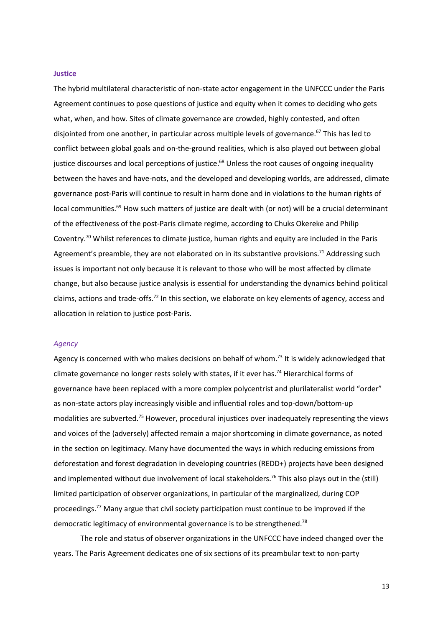#### **Justice**

The hybrid multilateral characteristic of non-state actor engagement in the UNFCCC under the Paris Agreement continues to pose questions of justice and equity when it comes to deciding who gets what, when, and how. Sites of climate governance are crowded, highly contested, and often disjointed from one another, in particular across multiple levels of governance.<sup>67</sup> This has led to conflict between global goals and on-the-ground realities, which is also played out between global justice discourses and local perceptions of justice.<sup>68</sup> Unless the root causes of ongoing inequality between the haves and have-nots, and the developed and developing worlds, are addressed, climate governance post-Paris will continue to result in harm done and in violations to the human rights of local communities.<sup>69</sup> How such matters of justice are dealt with (or not) will be a crucial determinant of the effectiveness of the post-Paris climate regime, according to Chuks Okereke and Philip Coventry. <sup>70</sup> Whilst references to climate justice, human rights and equity are included in the Paris Agreement's preamble, they are not elaborated on in its substantive provisions.<sup>71</sup> Addressing such issues is important not only because it is relevant to those who will be most affected by climate change, but also because justice analysis is essential for understanding the dynamics behind political claims, actions and trade-offs.<sup>72</sup> In this section, we elaborate on key elements of agency, access and allocation in relation to justice post-Paris.

#### *Agency*

Agency is concerned with who makes decisions on behalf of whom.<sup>73</sup> It is widely acknowledged that climate governance no longer rests solely with states, if it ever has. <sup>74</sup> Hierarchical forms of governance have been replaced with a more complex polycentrist and plurilateralist world "order" as non-state actors play increasingly visible and influential roles and top-down/bottom-up modalities are subverted.<sup>75</sup> However, procedural injustices over inadequately representing the views and voices of the (adversely) affected remain a major shortcoming in climate governance, as noted in the section on legitimacy. Many have documented the ways in which reducing emissions from deforestation and forest degradation in developing countries (REDD+) projects have been designed and implemented without due involvement of local stakeholders.<sup>76</sup> This also plays out in the (still) limited participation of observer organizations, in particular of the marginalized, during COP proceedings. <sup>77</sup> Many argue that civil society participation must continue to be improved if the democratic legitimacy of environmental governance is to be strengthened.<sup>78</sup>

The role and status of observer organizations in the UNFCCC have indeed changed over the years. The Paris Agreement dedicates one of six sections of its preambular text to non-party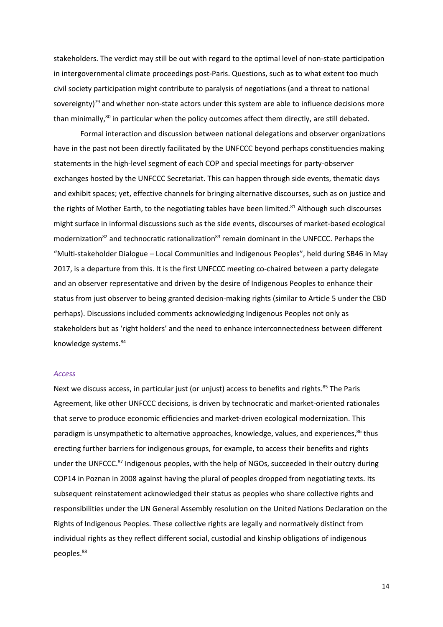stakeholders. The verdict may still be out with regard to the optimal level of non-state participation in intergovernmental climate proceedings post-Paris. Questions, such as to what extent too much civil society participation might contribute to paralysis of negotiations (and a threat to national sovereignty)<sup>79</sup> and whether non-state actors under this system are able to influence decisions more than minimally, $80$  in particular when the policy outcomes affect them directly, are still debated.

Formal interaction and discussion between national delegations and observer organizations have in the past not been directly facilitated by the UNFCCC beyond perhaps constituencies making statements in the high-level segment of each COP and special meetings for party-observer exchanges hosted by the UNFCCC Secretariat. This can happen through side events, thematic days and exhibit spaces; yet, effective channels for bringing alternative discourses, such as on justice and the rights of Mother Earth, to the negotiating tables have been limited.<sup>81</sup> Although such discourses might surface in informal discussions such as the side events, discourses of market-based ecological modernization<sup>82</sup> and technocratic rationalization<sup>83</sup> remain dominant in the UNFCCC. Perhaps the "Multi-stakeholder Dialogue – Local Communities and Indigenous Peoples", held during SB46 in May 2017, is a departure from this. It is the first UNFCCC meeting co-chaired between a party delegate and an observer representative and driven by the desire of Indigenous Peoples to enhance their status from just observer to being granted decision-making rights (similar to Article 5 under the CBD perhaps). Discussions included comments acknowledging Indigenous Peoples not only as stakeholders but as 'right holders' and the need to enhance interconnectedness between different knowledge systems. 84

#### *Access*

Next we discuss access, in particular just (or unjust) access to benefits and rights.<sup>85</sup> The Paris Agreement, like other UNFCCC decisions, is driven by technocratic and market-oriented rationales that serve to produce economic efficiencies and market-driven ecological modernization. This paradigm is unsympathetic to alternative approaches, knowledge, values, and experiences,<sup>86</sup> thus erecting further barriers for indigenous groups, for example, to access their benefits and rights under the UNFCCC.<sup>87</sup> Indigenous peoples, with the help of NGOs, succeeded in their outcry during COP14 in Poznan in 2008 against having the plural of peoples dropped from negotiating texts. Its subsequent reinstatement acknowledged their status as peoples who share collective rights and responsibilities under the UN General Assembly resolution on the United Nations Declaration on the Rights of Indigenous Peoples. These collective rights are legally and normatively distinct from individual rights as they reflect different social, custodial and kinship obligations of indigenous peoples.<sup>88</sup>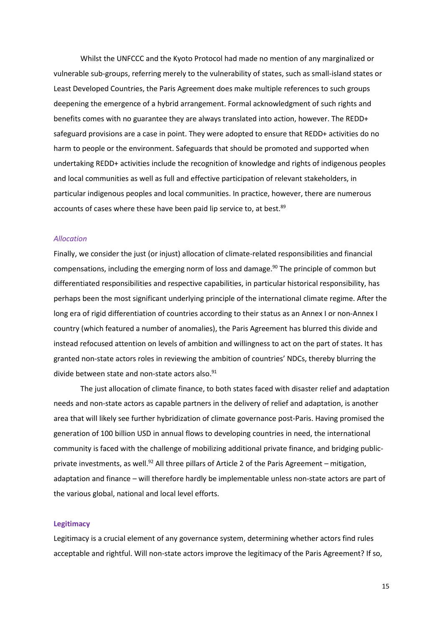Whilst the UNFCCC and the Kyoto Protocol had made no mention of any marginalized or vulnerable sub-groups, referring merely to the vulnerability of states, such as small-island states or Least Developed Countries, the Paris Agreement does make multiple references to such groups deepening the emergence of a hybrid arrangement. Formal acknowledgment of such rights and benefits comes with no guarantee they are always translated into action, however. The REDD+ safeguard provisions are a case in point. They were adopted to ensure that REDD+ activities do no harm to people or the environment. Safeguards that should be promoted and supported when undertaking REDD+ activities include the recognition of knowledge and rights of indigenous peoples and local communities as well as full and effective participation of relevant stakeholders, in particular indigenous peoples and local communities. In practice, however, there are numerous accounts of cases where these have been paid lip service to, at best.<sup>89</sup>

#### *Allocation*

Finally, we consider the just (or injust) allocation of climate-related responsibilities and financial compensations, including the emerging norm of loss and damage.<sup>90</sup> The principle of common but differentiated responsibilities and respective capabilities, in particular historical responsibility, has perhaps been the most significant underlying principle of the international climate regime. After the long era of rigid differentiation of countries according to their status as an Annex I or non-Annex I country (which featured a number of anomalies), the Paris Agreement has blurred this divide and instead refocused attention on levels of ambition and willingness to act on the part of states. It has granted non-state actors roles in reviewing the ambition of countries' NDCs, thereby blurring the divide between state and non-state actors also.<sup>91</sup>

The just allocation of climate finance, to both states faced with disaster relief and adaptation needs and non-state actors as capable partners in the delivery of relief and adaptation, is another area that will likely see further hybridization of climate governance post-Paris. Having promised the generation of 100 billion USD in annual flows to developing countries in need, the international community is faced with the challenge of mobilizing additional private finance, and bridging publicprivate investments, as well.<sup>92</sup> All three pillars of Article 2 of the Paris Agreement – mitigation, adaptation and finance – will therefore hardly be implementable unless non-state actors are part of the various global, national and local level efforts.

#### **Legitimacy**

Legitimacy is a crucial element of any governance system, determining whether actors find rules acceptable and rightful. Will non-state actors improve the legitimacy of the Paris Agreement? If so,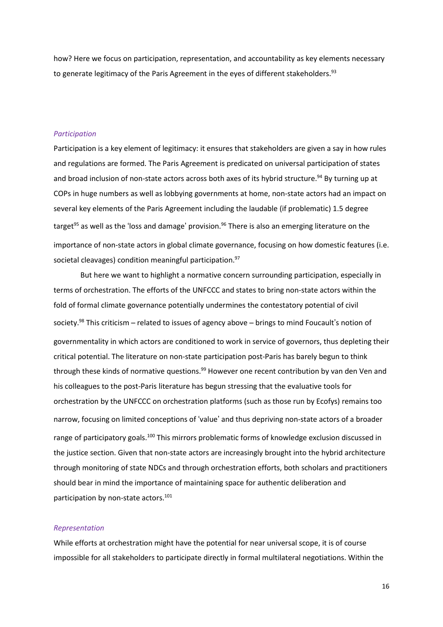how? Here we focus on participation, representation, and accountability as key elements necessary to generate legitimacy of the Paris Agreement in the eyes of different stakeholders.<sup>93</sup>

## *Participation*

Participation is a key element of legitimacy: it ensures that stakeholders are given a say in how rules and regulations are formed. The Paris Agreement is predicated on universal participation of states and broad inclusion of non-state actors across both axes of its hybrid structure. <sup>94</sup> By turning up at COPs in huge numbers as well as lobbying governments at home, non-state actors had an impact on several key elements of the Paris Agreement including the laudable (if problematic) 1.5 degree target<sup>95</sup> as well as the 'loss and damage' provision.<sup>96</sup> There is also an emerging literature on the importance of non-state actors in global climate governance, focusing on how domestic features (i.e. societal cleavages) condition meaningful participation.<sup>97</sup>

But here we want to highlight a normative concern surrounding participation, especially in terms of orchestration. The efforts of the UNFCCC and states to bring non-state actors within the fold of formal climate governance potentially undermines the contestatory potential of civil society.<sup>98</sup> This criticism – related to issues of agency above – brings to mind Foucault's notion of governmentality in which actors are conditioned to work in service of governors, thus depleting their critical potential. The literature on non-state participation post-Paris has barely begun to think through these kinds of normative questions.<sup>99</sup> However one recent contribution by van den Ven and his colleagues to the post-Paris literature has begun stressing that the evaluative tools for orchestration by the UNFCCC on orchestration platforms (such as those run by Ecofys) remains too narrow, focusing on limited conceptions of 'value' and thus depriving non-state actors of a broader range of participatory goals.<sup>100</sup> This mirrors problematic forms of knowledge exclusion discussed in the justice section. Given that non-state actors are increasingly brought into the hybrid architecture through monitoring of state NDCs and through orchestration efforts, both scholars and practitioners should bear in mind the importance of maintaining space for authentic deliberation and participation by non-state actors.<sup>101</sup>

#### *Representation*

While efforts at orchestration might have the potential for near universal scope, it is of course impossible for all stakeholders to participate directly in formal multilateral negotiations. Within the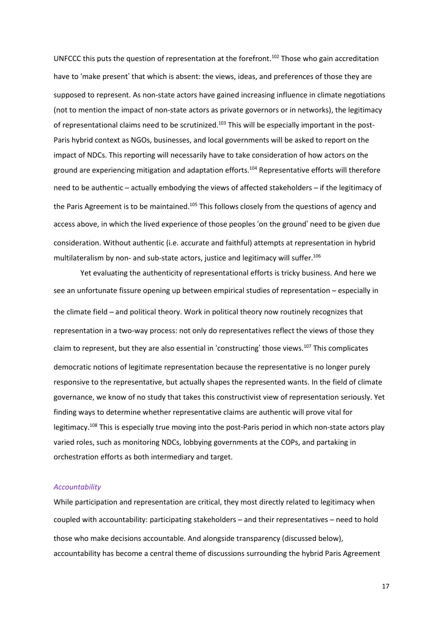UNFCCC this puts the question of representation at the forefront.<sup>102</sup> Those who gain accreditation have to 'make present' that which is absent: the views, ideas, and preferences of those they are supposed to represent. As non-state actors have gained increasing influence in climate negotiations (not to mention the impact of non-state actors as private governors or in networks), the legitimacy of representational claims need to be scrutinized.<sup>103</sup> This will be especially important in the post-Paris hybrid context as NGOs, businesses, and local governments will be asked to report on the impact of NDCs. This reporting will necessarily have to take consideration of how actors on the ground are experiencing mitigation and adaptation efforts.<sup>104</sup> Representative efforts will therefore need to be authentic – actually embodying the views of affected stakeholders – if the legitimacy of the Paris Agreement is to be maintained.<sup>105</sup> This follows closely from the questions of agency and access above, in which the lived experience of those peoples 'on the ground' need to be given due consideration. Without authentic (i.e. accurate and faithful) attempts at representation in hybrid multilateralism by non- and sub-state actors, justice and legitimacy will suffer.<sup>106</sup>

Yet evaluating the authenticity of representational efforts is tricky business. And here we see an unfortunate fissure opening up between empirical studies of representation – especially in the climate field – and political theory. Work in political theory now routinely recognizes that representation in a two-way process: not only do representatives reflect the views of those they claim to represent, but they are also essential in 'constructing' those views.<sup>107</sup> This complicates democratic notions of legitimate representation because the representative is no longer purely responsive to the representative, but actually shapes the represented wants. In the field of climate governance, we know of no study that takes this constructivist view of representation seriously. Yet finding ways to determine whether representative claims are authentic will prove vital for legitimacy. <sup>108</sup> This is especially true moving into the post-Paris period in which non-state actors play varied roles, such as monitoring NDCs, lobbying governments at the COPs, and partaking in orchestration efforts as both intermediary and target.

## *Accountability*

While participation and representation are critical, they most directly related to legitimacy when coupled with accountability: participating stakeholders – and their representatives – need to hold those who make decisions accountable. And alongside transparency (discussed below), accountability has become a central theme of discussions surrounding the hybrid Paris Agreement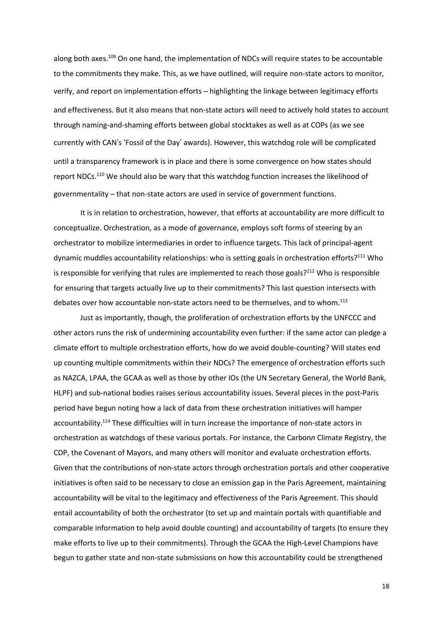along both axes.<sup>109</sup> On one hand, the implementation of NDCs will require states to be accountable to the commitments they make. This, as we have outlined, will require non-state actors to monitor, verify, and report on implementation efforts – highlighting the linkage between legitimacy efforts and effectiveness. But it also means that non-state actors will need to actively hold states to account through naming-and-shaming efforts between global stocktakes as well as at COPs (as we see currently with CAN's 'Fossil of the Day' awards). However, this watchdog role will be complicated until a transparency framework is in place and there is some convergence on how states should report NDCs.<sup>110</sup> We should also be wary that this watchdog function increases the likelihood of governmentality – that non-state actors are used in service of government functions.

It is in relation to orchestration, however, that efforts at accountability are more difficult to conceptualize. Orchestration, as a mode of governance, employs soft forms of steering by an orchestrator to mobilize intermediaries in order to influence targets. This lack of principal-agent dynamic muddles accountability relationships: who is setting goals in orchestration efforts?<sup>111</sup> Who is responsible for verifying that rules are implemented to reach those goals?<sup>112</sup> Who is responsible for ensuring that targets actually live up to their commitments? This last question intersects with debates over how accountable non-state actors need to be themselves, and to whom.<sup>113</sup>

Just as importantly, though, the proliferation of orchestration efforts by the UNFCCC and other actors runs the risk of undermining accountability even further: if the same actor can pledge a climate effort to multiple orchestration efforts, how do we avoid double-counting? Will states end up counting multiple commitments within their NDCs? The emergence of orchestration efforts such as NAZCA, LPAA, the GCAA as well as those by other IOs (the UN Secretary General, the World Bank, HLPF) and sub-national bodies raises serious accountability issues. Several pieces in the post-Paris period have begun noting how a lack of data from these orchestration initiatives will hamper accountability.<sup>114</sup> These difficulties will in turn increase the importance of non-state actors in orchestration as watchdogs of these various portals. For instance, the Carbon*n* Climate Registry, the CDP, the Covenant of Mayors, and many others will monitor and evaluate orchestration efforts. Given that the contributions of non-state actors through orchestration portals and other cooperative initiatives is often said to be necessary to close an emission gap in the Paris Agreement, maintaining accountability will be vital to the legitimacy and effectiveness of the Paris Agreement. This should entail accountability of both the orchestrator (to set up and maintain portals with quantifiable and comparable information to help avoid double counting) and accountability of targets (to ensure they make efforts to live up to their commitments). Through the GCAA the High-Level Champions have begun to gather state and non-state submissions on how this accountability could be strengthened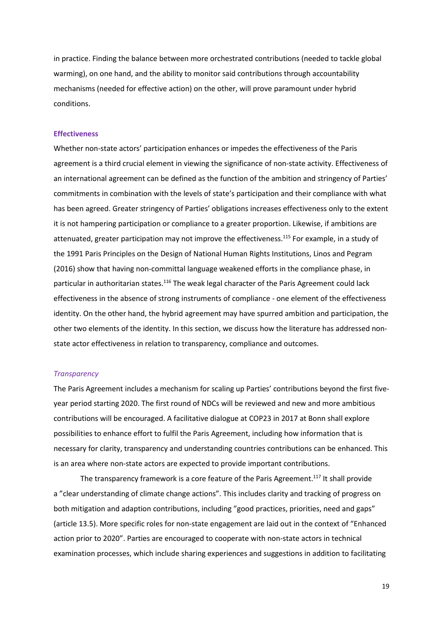in practice. Finding the balance between more orchestrated contributions (needed to tackle global warming), on one hand, and the ability to monitor said contributions through accountability mechanisms (needed for effective action) on the other, will prove paramount under hybrid conditions.

#### **Effectiveness**

Whether non-state actors' participation enhances or impedes the effectiveness of the Paris agreement is a third crucial element in viewing the significance of non-state activity. Effectiveness of an international agreement can be defined as the function of the ambition and stringency of Parties' commitments in combination with the levels of state's participation and their compliance with what has been agreed. Greater stringency of Parties' obligations increases effectiveness only to the extent it is not hampering participation or compliance to a greater proportion. Likewise, if ambitions are attenuated, greater participation may not improve the effectiveness.<sup>115</sup> For example, in a study of the 1991 Paris Principles on the Design of National Human Rights Institutions, Linos and Pegram (2016) show that having non-committal language weakened efforts in the compliance phase, in particular in authoritarian states.<sup>116</sup> The weak legal character of the Paris Agreement could lack effectiveness in the absence of strong instruments of compliance - one element of the effectiveness identity. On the other hand, the hybrid agreement may have spurred ambition and participation, the other two elements of the identity. In this section, we discuss how the literature has addressed nonstate actor effectiveness in relation to transparency, compliance and outcomes.

#### *Transparency*

The Paris Agreement includes a mechanism for scaling up Parties' contributions beyond the first fiveyear period starting 2020. The first round of NDCs will be reviewed and new and more ambitious contributions will be encouraged. A facilitative dialogue at COP23 in 2017 at Bonn shall explore possibilities to enhance effort to fulfil the Paris Agreement, including how information that is necessary for clarity, transparency and understanding countries contributions can be enhanced. This is an area where non-state actors are expected to provide important contributions.

The transparency framework is a core feature of the Paris Agreement.<sup>117</sup> It shall provide a "clear understanding of climate change actions". This includes clarity and tracking of progress on both mitigation and adaption contributions, including "good practices, priorities, need and gaps" (article 13.5). More specific roles for non-state engagement are laid out in the context of "Enhanced action prior to 2020". Parties are encouraged to cooperate with non-state actors in technical examination processes, which include sharing experiences and suggestions in addition to facilitating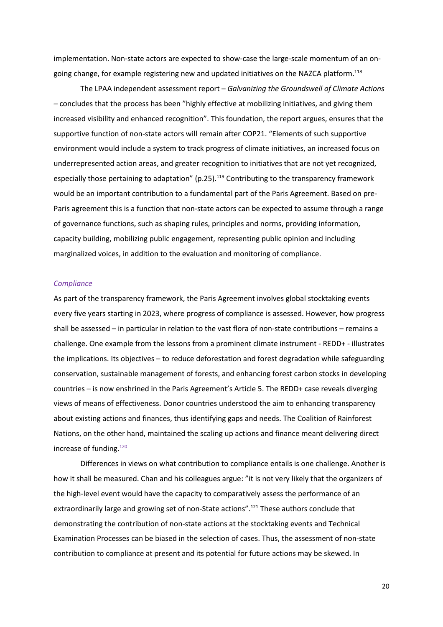implementation. Non-state actors are expected to show-case the large-scale momentum of an ongoing change, for example registering new and updated initiatives on the NAZCA platform.<sup>118</sup>

The LPAA independent assessment report – *Galvanizing the Groundswell of Climate Actions –* concludes that the process has been "highly effective at mobilizing initiatives, and giving them increased visibility and enhanced recognition". This foundation, the report argues, ensures that the supportive function of non-state actors will remain after COP21. "Elements of such supportive environment would include a system to track progress of climate initiatives, an increased focus on underrepresented action areas, and greater recognition to initiatives that are not yet recognized, especially those pertaining to adaptation" (p.25).<sup>119</sup> Contributing to the transparency framework would be an important contribution to a fundamental part of the Paris Agreement. Based on pre-Paris agreement this is a function that non-state actors can be expected to assume through a range of governance functions, such as shaping rules, principles and norms, providing information, capacity building, mobilizing public engagement, representing public opinion and including marginalized voices, in addition to the evaluation and monitoring of compliance.

#### *Compliance*

As part of the transparency framework, the Paris Agreement involves global stocktaking events every five years starting in 2023, where progress of compliance is assessed. However, how progress shall be assessed – in particular in relation to the vast flora of non-state contributions – remains a challenge. One example from the lessons from a prominent climate instrument - REDD+ - illustrates the implications. Its objectives – to reduce deforestation and forest degradation while safeguarding conservation, sustainable management of forests, and enhancing forest carbon stocks in developing countries – is now enshrined in the Paris Agreement's Article 5. The REDD+ case reveals diverging views of means of effectiveness. Donor countries understood the aim to enhancing transparency about existing actions and finances, thus identifying gaps and needs. The Coalition of Rainforest Nations, on the other hand, maintained the scaling up actions and finance meant delivering direct increase of funding.<sup>120</sup>

Differences in views on what contribution to compliance entails is one challenge. Another is how it shall be measured. Chan and his colleagues argue: "it is not very likely that the organizers of the high-level event would have the capacity to comparatively assess the performance of an extraordinarily large and growing set of non-State actions".<sup>121</sup> These authors conclude that demonstrating the contribution of non-state actions at the stocktaking events and Technical Examination Processes can be biased in the selection of cases. Thus, the assessment of non-state contribution to compliance at present and its potential for future actions may be skewed. In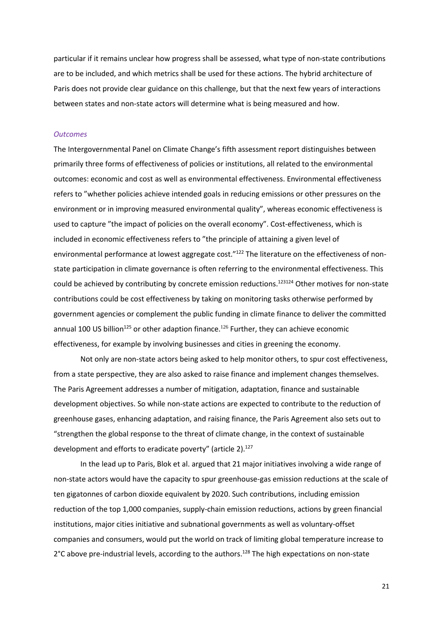particular if it remains unclear how progress shall be assessed, what type of non-state contributions are to be included, and which metrics shall be used for these actions. The hybrid architecture of Paris does not provide clear guidance on this challenge, but that the next few years of interactions between states and non-state actors will determine what is being measured and how.

#### *Outcomes*

The Intergovernmental Panel on Climate Change's fifth assessment report distinguishes between primarily three forms of effectiveness of policies or institutions, all related to the environmental outcomes: economic and cost as well as environmental effectiveness. Environmental effectiveness refers to "whether policies achieve intended goals in reducing emissions or other pressures on the environment or in improving measured environmental quality", whereas economic effectiveness is used to capture "the impact of policies on the overall economy". Cost-effectiveness, which is included in economic effectiveness refers to "the principle of attaining a given level of environmental performance at lowest aggregate cost."<sup>122</sup> The literature on the effectiveness of nonstate participation in climate governance is often referring to the environmental effectiveness. This could be achieved by contributing by concrete emission reductions.<sup>123124</sup> Other motives for non-state contributions could be cost effectiveness by taking on monitoring tasks otherwise performed by government agencies or complement the public funding in climate finance to deliver the committed annual 100 US billion<sup>125</sup> or other adaption finance.<sup>126</sup> Further, they can achieve economic effectiveness, for example by involving businesses and cities in greening the economy.

Not only are non-state actors being asked to help monitor others, to spur cost effectiveness, from a state perspective, they are also asked to raise finance and implement changes themselves. The Paris Agreement addresses a number of mitigation, adaptation, finance and sustainable development objectives. So while non-state actions are expected to contribute to the reduction of greenhouse gases, enhancing adaptation, and raising finance, the Paris Agreement also sets out to "strengthen the global response to the threat of climate change, in the context of sustainable development and efforts to eradicate poverty" (article 2).<sup>127</sup>

In the lead up to Paris, Blok et al. argued that 21 major initiatives involving a wide range of non-state actors would have the capacity to spur greenhouse-gas emission reductions at the scale of ten gigatonnes of carbon dioxide equivalent by 2020. Such contributions, including emission reduction of the top 1,000 companies, supply-chain emission reductions, actions by green financial institutions, major cities initiative and subnational governments as well as voluntary-offset companies and consumers, would put the world on track of limiting global temperature increase to 2°C above pre-industrial levels, according to the authors.<sup>128</sup> The high expectations on non-state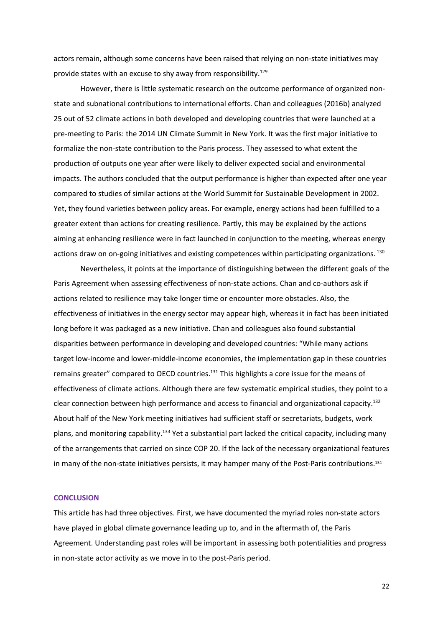actors remain, although some concerns have been raised that relying on non-state initiatives may provide states with an excuse to shy away from responsibility.<sup>129</sup>

However, there is little systematic research on the outcome performance of organized nonstate and subnational contributions to international efforts. Chan and colleagues (2016b) analyzed 25 out of 52 climate actions in both developed and developing countries that were launched at a pre-meeting to Paris: the 2014 UN Climate Summit in New York. It was the first major initiative to formalize the non-state contribution to the Paris process. They assessed to what extent the production of outputs one year after were likely to deliver expected social and environmental impacts. The authors concluded that the output performance is higher than expected after one year compared to studies of similar actions at the World Summit for Sustainable Development in 2002. Yet, they found varieties between policy areas. For example, energy actions had been fulfilled to a greater extent than actions for creating resilience. Partly, this may be explained by the actions aiming at enhancing resilience were in fact launched in conjunction to the meeting, whereas energy actions draw on on-going initiatives and existing competences within participating organizations. 130

Nevertheless, it points at the importance of distinguishing between the different goals of the Paris Agreement when assessing effectiveness of non-state actions. Chan and co-authors ask if actions related to resilience may take longer time or encounter more obstacles. Also, the effectiveness of initiatives in the energy sector may appear high, whereas it in fact has been initiated long before it was packaged as a new initiative. Chan and colleagues also found substantial disparities between performance in developing and developed countries: "While many actions target low-income and lower-middle-income economies, the implementation gap in these countries remains greater" compared to OECD countries.<sup>131</sup> This highlights a core issue for the means of effectiveness of climate actions. Although there are few systematic empirical studies, they point to a clear connection between high performance and access to financial and organizational capacity.<sup>132</sup> About half of the New York meeting initiatives had sufficient staff or secretariats, budgets, work plans, and monitoring capability.<sup>133</sup> Yet a substantial part lacked the critical capacity, including many of the arrangements that carried on since COP 20. If the lack of the necessary organizational features in many of the non-state initiatives persists, it may hamper many of the Post-Paris contributions.<sup>134</sup>

#### **CONCLUSION**

This article has had three objectives. First, we have documented the myriad roles non-state actors have played in global climate governance leading up to, and in the aftermath of, the Paris Agreement. Understanding past roles will be important in assessing both potentialities and progress in non-state actor activity as we move in to the post-Paris period.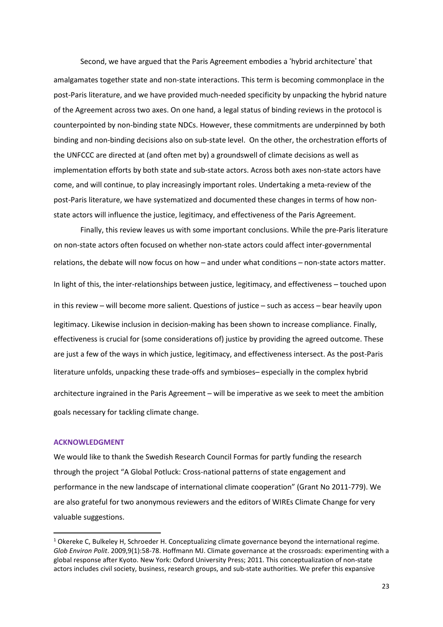Second, we have argued that the Paris Agreement embodies a 'hybrid architecture' that amalgamates together state and non-state interactions. This term is becoming commonplace in the post-Paris literature, and we have provided much-needed specificity by unpacking the hybrid nature of the Agreement across two axes. On one hand, a legal status of binding reviews in the protocol is counterpointed by non-binding state NDCs. However, these commitments are underpinned by both binding and non-binding decisions also on sub-state level. On the other, the orchestration efforts of the UNFCCC are directed at (and often met by) a groundswell of climate decisions as well as implementation efforts by both state and sub-state actors. Across both axes non-state actors have come, and will continue, to play increasingly important roles. Undertaking a meta-review of the post-Paris literature, we have systematized and documented these changes in terms of how nonstate actors will influence the justice, legitimacy, and effectiveness of the Paris Agreement.

Finally, this review leaves us with some important conclusions. While the pre-Paris literature on non-state actors often focused on whether non-state actors could affect inter-governmental relations, the debate will now focus on how – and under what conditions – non-state actors matter. In light of this, the inter-relationships between justice, legitimacy, and effectiveness – touched upon in this review – will become more salient. Questions of justice – such as access – bear heavily upon legitimacy. Likewise inclusion in decision-making has been shown to increase compliance. Finally, effectiveness is crucial for (some considerations of) justice by providing the agreed outcome. These are just a few of the ways in which justice, legitimacy, and effectiveness intersect. As the post-Paris literature unfolds, unpacking these trade-offs and symbioses– especially in the complex hybrid architecture ingrained in the Paris Agreement – will be imperative as we seek to meet the ambition goals necessary for tackling climate change.

#### **ACKNOWLEDGMENT**

 $\overline{a}$ 

We would like to thank the Swedish Research Council Formas for partly funding the research through the project "A Global Potluck: Cross-national patterns of state engagement and performance in the new landscape of international climate cooperation" (Grant No 2011-779). We are also grateful for two anonymous reviewers and the editors of WIREs Climate Change for very valuable suggestions.

<sup>1</sup> Okereke C, Bulkeley H, Schroeder H. Conceptualizing climate governance beyond the international regime. *Glob Environ Polit*. 2009,9(1):58-78. Hoffmann MJ. Climate governance at the crossroads: experimenting with a global response after Kyoto. New York: Oxford University Press; 2011. This conceptualization of non-state actors includes civil society, business, research groups, and sub-state authorities. We prefer this expansive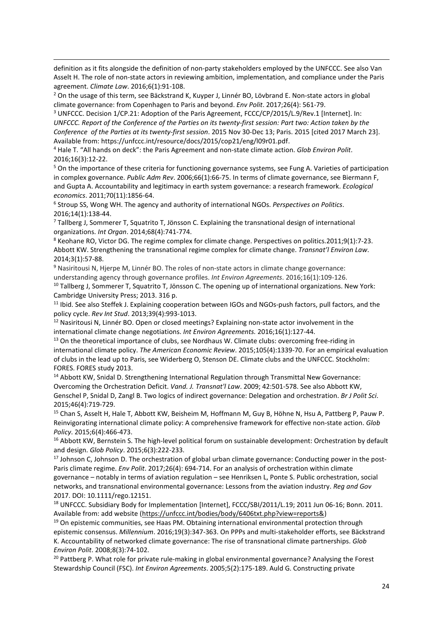definition as it fits alongside the definition of non-party stakeholders employed by the UNFCCC. See also Van Asselt H. The role of non-state actors in reviewing ambition, implementation, and compliance under the Paris agreement. *Climate Law*. 2016;6(1):91-108.

 $2$  On the usage of this term, see Bäckstrand K, Kuyper J, Linnér BO, Lövbrand E. Non-state actors in global climate governance: from Copenhagen to Paris and beyond. *Env Polit*. 2017;26(4): 561-79.

j

<sup>3</sup> UNFCCC. Decision 1/CP.21: Adoption of the Paris Agreement, FCCC/CP/2015/L.9/Rev.1 [Internet]. In: UNFCCC. Report of the Conference of the Parties on its twenty-first session: Part two: Action taken by the *Conference of the Parties at its twenty-first session*. 2015 Nov 30-Dec 13; Paris. 2015 [cited 2017 March 23]. Available from: https://unfccc.int/resource/docs/2015/cop21/eng/l09r01.pdf.

<sup>4</sup> Hale T. "All hands on deck": the Paris Agreement and non-state climate action. *Glob Environ Polit*. 2016;16(3):12-22.

<sup>5</sup> On the importance of these criteria for functioning governance systems, see Fung A. Varieties of participation in complex governance. *Public Adm Rev*. 2006;66(1):66-75. In terms of climate governance, see Biermann F, and Gupta A. Accountability and legitimacy in earth system governance: a research framework. *Ecological economics*. 2011;70(11):1856-64.

6 Stroup SS, Wong WH. The agency and authority of international NGOs. *Perspectives on Politics*. 2016;14(1):138-44.

 $7$  Tallberg J, Sommerer T, Squatrito T, Jönsson C. Explaining the transnational design of international organizations. *Int Organ*. 2014;68(4):741-774.

<sup>8</sup> Keohane RO, Victor DG. The regime complex for climate change. Perspectives on politics.2011;9(1):7-23. Abbott KW. Strengthening the transnational regime complex for climate change. *Transnat'l Environ Law*. 2014;3(1):57-88.

<sup>9</sup> Nasiritousi N, Hjerpe M, Linnér BO. The roles of non-state actors in climate change governance: understanding agency through governance profiles. *Int Environ Agreements*. 2016;16(1):109-126.

 $10$  Tallberg J, Sommerer T, Squatrito T, Jönsson C. The opening up of international organizations. New York: Cambridge University Press; 2013. 316 p.

<sup>11</sup> Ibid. See also Steffek J. Explaining cooperation between IGOs and NGOs-push factors, pull factors, and the policy cycle. *Rev Int Stud*. 2013;39(4):993-1013.

<sup>12</sup> Nasiritousi N, Linnér BO. Open or closed meetings? Explaining non-state actor involvement in the international climate change negotiations. *Int Environ Agreements.* 2016;16(1):127-44.

<sup>13</sup> On the theoretical importance of clubs, see Nordhaus W. Climate clubs: overcoming free-riding in international climate policy. *The American Economic Review*. 2015;105(4):1339-70. For an empirical evaluation of clubs in the lead up to Paris, see Widerberg O, Stenson DE. Climate clubs and the UNFCCC. Stockholm: FORES. FORES study 2013.

<sup>14</sup> Abbott KW, Snidal D. Strengthening International Regulation through Transmittal New Governance: Overcoming the Orchestration Deficit. *Vand. J. Transnat'l Law*. 2009; 42:501-578. See also Abbott KW, Genschel P, Snidal D, Zangl B. Two logics of indirect governance: Delegation and orchestration. *Br J Polit Sci*. 2015;46(4):719-729.

<sup>15</sup> Chan S, Asselt H, Hale T, Abbott KW, Beisheim M, Hoffmann M, Guy B, Höhne N, Hsu A, Pattberg P, Pauw P. Reinvigorating international climate policy: A comprehensive framework for effective non-state action. *Glob Policy*. 2015;6(4):466-473.

<sup>16</sup> Abbott KW, Bernstein S. The high-level political forum on sustainable development: Orchestration by default and design. *Glob Policy*. 2015;6(3):222-233.

<sup>17</sup> Johnson C, Johnson D. The orchestration of global urban climate governance: Conducting power in the post-Paris climate regime. *Env Polit*. 2017;26(4): 694-714. For an analysis of orchestration within climate governance – notably in terms of aviation regulation – see Henriksen L, Ponte S. Public orchestration, social networks, and transnational environmental governance: Lessons from the aviation industry. *Reg and Gov* 2017. DOI: 10.1111/rego.12151.

<sup>18</sup> UNFCCC. Subsidiary Body for Implementation [Internet], FCCC/SBI/2011/L.19; 2011 Jun 06-16; Bonn. 2011. Available from: add website [\(https://unfccc.int/bodies/body/6406txt.php?view=reports&\)](https://unfccc.int/bodies/body/6406txt.php?view=reports&)

<sup>19</sup> On epistemic communities, see Haas PM. Obtaining international environmental protection through epistemic consensus. *Millennium*. 2016;19(3):347-363. On PPPs and multi-stakeholder efforts, see Bäckstrand K. Accountability of networked climate governance: The rise of transnational climate partnerships. *Glob Environ Polit*. 2008;8(3):74-102.

<sup>20</sup> Pattberg P. What role for private rule-making in global environmental governance? Analysing the Forest Stewardship Council (FSC). *Int Environ Agreements*. 2005;5(2):175-189. Auld G. Constructing private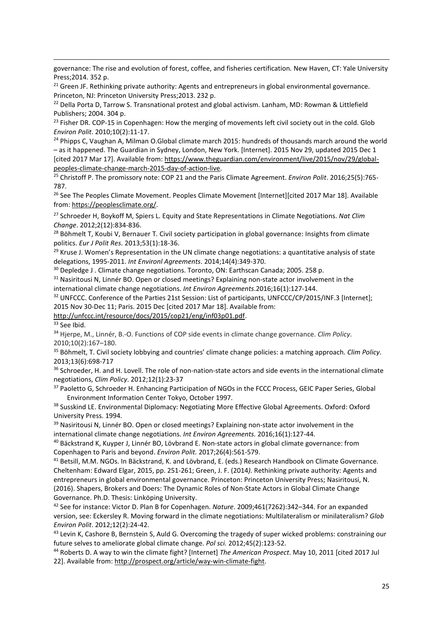governance: The rise and evolution of forest, coffee, and fisheries certification*.* New Haven, CT: Yale University Press;2014. 352 p.

<sup>21</sup> Green JF. Rethinking private authority: Agents and entrepreneurs in global environmental governance. Princeton, NJ: Princeton University Press;2013. 232 p.

<sup>22</sup> Della Porta D, Tarrow S. Transnational protest and global activism. Lanham, MD: Rowman & Littlefield Publishers; 2004. 304 p.

<sup>23</sup> Fisher DR. COP-15 in Copenhagen: How the merging of movements left civil society out in the cold. Glob *Environ Polit*. 2010;10(2):11-17.

<sup>24</sup> Phipps C, Vaughan A, Milman O.Global climate march 2015: hundreds of thousands march around the world – as it happened. The Guardian in Sydney, London, New York. [Internet]. 2015 Nov 29, updated 2015 Dec 1 [cited 2017 Mar 17]. Available from: [https://www.theguardian.com/environment/live/2015/nov/29/global](https://www.theguardian.com/environment/live/2015/nov/29/global-peoples-climate-change-march-2015-day-of-action-live)[peoples-climate-change-march-2015-day-of-action-live.](https://www.theguardian.com/environment/live/2015/nov/29/global-peoples-climate-change-march-2015-day-of-action-live)

<sup>25</sup> Christoff P. The promissory note: COP 21 and the Paris Climate Agreement. *Environ Polit*. 2016;25(5):765- 787.

<sup>26</sup> See The Peoples Climate Movement. Peoples Climate Movement [Internet][cited 2017 Mar 18]. Available from: [https://peoplesclimate.org/.](https://peoplesclimate.org/)

<sup>27</sup> Schroeder H, Boykoff M, Spiers L. Equity and State Representations in Climate Negotiations. *Nat Clim Change*. 2012;2(12):834-836.

<sup>28</sup> Böhmelt T, Koubi V, Bernauer T. Civil society participation in global governance: Insights from climate politics. *Eur J Polit Res*. 2013;53(1):18-36.

 $29$  Kruse J. Women's Representation in the UN climate change negotiations: a quantitative analysis of state delegations, 1995-2011. *Int Environl Agreements*. 2014;14(4):349-370.

<sup>30</sup> Depledge J. Climate change negotiations. Toronto, ON: Earthscan Canada; 2005. 258 p.

<sup>31</sup> Nasiritousi N, Linnér BO. Open or closed meetings? Explaining non-state actor involvement in the international climate change negotiations. *Int Environ Agreements*.2016;16(1):127-144.

<sup>32</sup> UNFCCC. Conference of the Parties 21st Session: List of participants, UNFCCC/CP/2015/INF.3 [Internet]; 2015 Nov 30-Dec 11; Paris. 2015 Dec [cited 2017 Mar 18]. Available from:

[http://unfccc.int/resource/docs/2015/cop21/eng/inf03p01.pdf.](http://unfccc.int/resource/docs/2015/cop21/eng/inf03p01.pdf)

<sup>33</sup> See Ibid.

j

<sup>34</sup> Hjerpe, M., Linnér, B.-O. Functions of COP side events in climate change governance. *Clim Policy*. 2010;10(2):167–180.

<sup>35</sup> Böhmelt, T. Civil society lobbying and countries' climate change policies: a matching approach. *Clim Policy*. 2013;13(6):698-717

36 Schroeder, H. and H. Lovell. The role of non-nation-state actors and side events in the international climate negotiations, *Clim Policy*. 2012;12(1):23-37

<sup>37</sup> Paoletto G, Schroeder H. Enhancing Participation of NGOs in the FCCC Process, GEIC Paper Series, Global Environment Information Center Tokyo, October 1997.

38 Susskind LE. Environmental Diplomacy: Negotiating More Effective Global Agreements. Oxford: Oxford University Press. 1994.

<sup>39</sup> Nasiritousi N, Linnér BO. Open or closed meetings? Explaining non-state actor involvement in the international climate change negotiations. *Int Environ Agreements.* 2016;16(1):127-44.

<sup>40</sup> Bäckstrand K, Kuyper J, Linnér BO, Lövbrand E. Non-state actors in global climate governance: from Copenhagen to Paris and beyond. *Environ Polit.* 2017;26(4):561-579.

<sup>41</sup> Betsill, M.M. NGOs. In Bäckstrand, K. and Lövbrand, E. (eds.) Research Handbook on Climate Governance. Cheltenham: Edward Elgar, 2015, pp. 251-261; Green, J. F. (2014*).* Rethinking private authority: Agents and entrepreneurs in global environmental governance. Princeton: Princeton University Press; Nasiritousi, N. (2016). Shapers, Brokers and Doers: The Dynamic Roles of Non-State Actors in Global Climate Change Governance. Ph.D. Thesis: Linköping University.

<sup>42</sup> See for instance: Victor D. Plan B for Copenhagen. *Nature*. 2009;461(7262):342–344. For an expanded version, see: Eckersley R. Moving forward in the climate negotiations: Multilateralism or minilateralism? *Glob Environ Polit*. 2012;12(2):24-42.

<sup>43</sup> Levin K, Cashore B, Bernstein S, Auld G. Overcoming the tragedy of super wicked problems: constraining our future selves to ameliorate global climate change. *Pol sci.* 2012;45(2):123-52.

<sup>44</sup> Roberts D. A way to win the climate fight? [Internet] *The American Prospect*. May 10, 2011 [cited 2017 Jul 22]. Available from: [http://prospect.org/article/way-win-climate-fight.](http://prospect.org/article/way-win-climate-fight)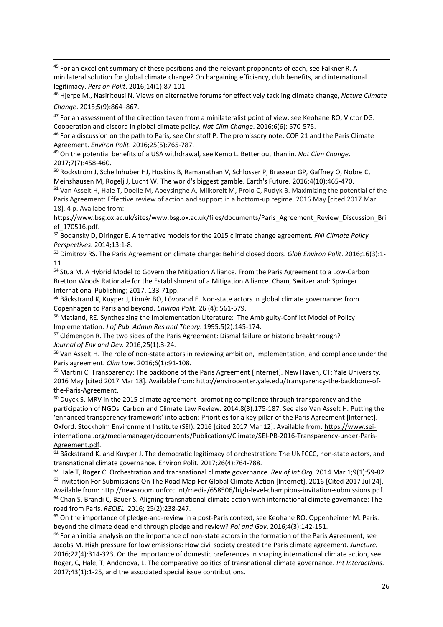j <sup>45</sup> For an excellent summary of these positions and the relevant proponents of each, see Falkner R. A minilateral solution for global climate change? On bargaining efficiency, club benefits, and international legitimacy. *Pers on Polit*. 2016;14(1):87-101.

<sup>46</sup> Hjerpe M., Nasiritousi N. Views on alternative forums for effectively tackling climate change, *Nature Climate Change*. 2015;5(9):864–867.

<sup>47</sup> For an assessment of the direction taken from a minilateralist point of view, see Keohane RO, Victor DG. Cooperation and discord in global climate policy. *Nat Clim Change*. 2016;6(6): 570-575.

48 For a discussion on the path to Paris, see Christoff P. The promissory note: COP 21 and the Paris Climate Agreement. *Environ Polit*. 2016;25(5):765-787.

<sup>49</sup> On the potential benefits of a USA withdrawal, see Kemp L. Better out than in. *Nat Clim Change*. 2017;7(7):458-460.

<sup>50</sup> Rockström J, Schellnhuber HJ, Hoskins B, Ramanathan V, Schlosser P, Brasseur GP, Gaffney O, Nobre C, Meinshausen M, Rogelj J, Lucht W. The world's biggest gamble. Earth's Future. 2016;4(10):465-470.

<sup>51</sup> Van Asselt H, Hale T, Doelle M, Abeysinghe A, Milkoreit M, Prolo C, Rudyk B. Maximizing the potential of the Paris Agreement: Effective review of action and support in a bottom-up regime. 2016 May [cited 2017 Mar 18]. 4 p. Availabe from:

[https://www.bsg.ox.ac.uk/sites/www.bsg.ox.ac.uk/files/documents/Paris\\_Agreement\\_Review\\_Discussion\\_Bri](https://www.bsg.ox.ac.uk/sites/www.bsg.ox.ac.uk/files/documents/Paris_Agreement_Review_Discussion_Brief_170516.pdf) [ef\\_170516.pdf.](https://www.bsg.ox.ac.uk/sites/www.bsg.ox.ac.uk/files/documents/Paris_Agreement_Review_Discussion_Brief_170516.pdf)

<sup>52</sup> Bodansky D, Diringer E. Alternative models for the 2015 climate change agreement. *FNI Climate Policy Perspectives*. 2014;13:1-8.

<sup>53</sup> Dimitrov RS. The Paris Agreement on climate change: Behind closed doors. *Glob Environ Polit*. 2016;16(3):1- 11.

<sup>54</sup> Stua M. A Hybrid Model to Govern the Mitigation Alliance. From the Paris Agreement to a Low-Carbon Bretton Woods Rationale for the Establishment of a Mitigation Alliance. Cham, Switzerland: Springer International Publishing; 2017. 133-71pp.

<sup>55</sup> Bäckstrand K, Kuyper J, Linnér BO, Lövbrand E. Non-state actors in global climate governance: from Copenhagen to Paris and beyond. *Environ Polit.* 26 (4): 561-579.

<sup>56</sup> Matland, RE. Synthesizing the Implementation Literature: The Ambiguity-Conflict Model of Policy Implementation. *J of Pub Admin Res and Theory*. 1995:5(2):145-174.

<sup>57</sup> Clémençon R. The two sides of the Paris Agreement: Dismal failure or historic breakthrough? *Journal of Env and Dev.* 2016;25(1):3-24.

<sup>58</sup> Van Asselt H. The role of non-state actors in reviewing ambition, implementation, and compliance under the Paris agreement. *Clim Law*. 2016;6(1):91-108.

<sup>59</sup> Martini C. Transparency: The backbone of the Paris Agreement [Internet]. New Haven, CT: Yale University. 2016 May [cited 2017 Mar 18]. Available from: [http://envirocenter.yale.edu/transparency-the-backbone-of](http://envirocenter.yale.edu/transparency-the-backbone-of-the-Paris-Agreement)[the-Paris-Agreement.](http://envirocenter.yale.edu/transparency-the-backbone-of-the-Paris-Agreement)

 $60$  Duyck S. MRV in the 2015 climate agreement- promoting compliance through transparency and the participation of NGOs. Carbon and Climate Law Review. 2014;8(3):175-187. See also Van Asselt H. Putting the 'enhanced transparency framework' into action: Priorities for a key pillar of the Paris Agreement [Internet]. Oxford: Stockholm Environment Institute (SEI). 2016 [cited 2017 Mar 12]. Available from: [https://www.sei](https://www.sei-international.org/mediamanager/documents/Publications/Climate/SEI-PB-2016-Transparency-under-Paris-Agreement.pdf)[international.org/mediamanager/documents/Publications/Climate/SEI-PB-2016-Transparency-under-Paris-](https://www.sei-international.org/mediamanager/documents/Publications/Climate/SEI-PB-2016-Transparency-under-Paris-Agreement.pdf)[Agreement.pdf.](https://www.sei-international.org/mediamanager/documents/Publications/Climate/SEI-PB-2016-Transparency-under-Paris-Agreement.pdf)

<sup>61</sup> Bäckstrand K. and Kuyper J. The democratic legitimacy of orchestration: The UNFCCC, non-state actors, and transnational climate governance. Environ Polit. 2017;26(4):764-788.

<sup>62</sup> Hale T, Roger C. Orchestration and transnational climate governance. *Rev of Int Org*. 2014 Mar 1;9(1):59-82. <sup>63</sup> Invitation For Submissions On The Road Map For Global Climate Action [Internet]. 2016 [Cited 2017 Jul 24]. Available from: http://newsroom.unfccc.int/media/658506/high-level-champions-invitation-submissions.pdf. <sup>64</sup> Chan S, Brandi C, Bauer S. Aligning transnational climate action with international climate governance: The road from Paris. *RECIEL*. 2016; 25(2):238-247.

<sup>65</sup> On the importance of pledge-and-review in a post-Paris context, see Keohane RO, Oppenheimer M. Paris: beyond the climate dead end through pledge and review? *Pol and Gov*. 2016;4(3):142-151.

<sup>66</sup> For an initial analysis on the importance of non-state actors in the formation of the Paris Agreement, see Jacobs M. High pressure for low emissions: How civil society created the Paris climate agreement. *Juncture.* 2016;22(4):314-323. On the importance of domestic preferences in shaping international climate action, see Roger, C, Hale, T, Andonova, L. The comparative politics of transnational climate governance. *Int Interactions*. 2017;43(1):1-25, and the associated special issue contributions.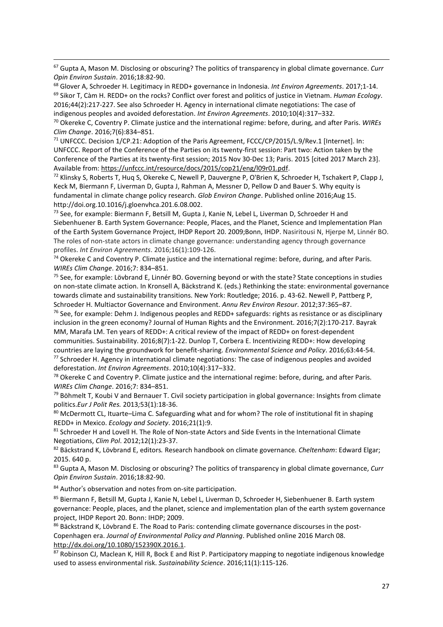<sup>67</sup> Gupta A, Mason M. Disclosing or obscuring? The politics of transparency in global climate governance. *Curr Opin Environ Sustain*. 2016;18:82-90.

<sup>68</sup> Glover A, Schroeder H. Legitimacy in REDD+ governance in Indonesia. *Int Environ Agreements*. 2017;1-14. <sup>69</sup> Sikor T, Càm H. REDD+ on the rocks? Conflict over forest and politics of justice in Vietnam. *Human Ecology*. 2016;44(2):217-227. See also Schroeder H. Agency in international climate negotiations: The case of indigenous peoples and avoided deforestation. *Int Environ Agreements*. 2010;10(4):317–332.

<sup>70</sup> Okereke C, Coventry P. Climate justice and the international regime: before, during, and after Paris. *WIREs Clim Change*. 2016;7(6):834–851.

<sup>71</sup> UNFCCC. Decision 1/CP.21: Adoption of the Paris Agreement, FCCC/CP/2015/L.9/Rev.1 [Internet]. In: UNFCCC. Report of the Conference of the Parties on its twenty-first session: Part two: Action taken by the Conference of the Parties at its twenty-first session; 2015 Nov 30-Dec 13; Paris. 2015 [cited 2017 March 23]. Available from: [https://unfccc.int/resource/docs/2015/cop21/eng/l09r01.pdf.](https://unfccc.int/resource/docs/2015/cop21/eng/l09r01.pdf)

<sup>72</sup> Klinsky S, Roberts T, Huq S, Okereke C, Newell P, Dauvergne P, O'Brien K, Schroeder H, Tschakert P, Clapp J, Keck M, Biermann F, Liverman D, Gupta J, Rahman A, Messner D, Pellow D and Bauer S. Why equity is fundamental in climate change policy research. *Glob Environ Change*. Published online 2016;Aug 15. http://doi.org.10.1016/j.gloenvhca.201.6.08.002.

<sup>73</sup> See, for example: Biermann F, Betsill M, Gupta J, Kanie N, Lebel L, Liverman D, Schroeder H and Siebenhuener B. Earth System Governance: People, Places, and the Planet, Science and Implementation Plan of the Earth System Governance Project, IHDP Report 20. 2009;Bonn, IHDP. Nasiritousi N, Hjerpe M, Linnér BO. The roles of non-state actors in climate change governance: understanding agency through governance profiles. *Int Environ Agreements*. 2016;16(1):109-126.

<sup>74</sup> Okereke C and Coventry P. Climate justice and the international regime: before, during, and after Paris. *WIREs Clim Change*. 2016;7: 834–851.

<sup>75</sup> See, for example: Lövbrand E, Linnér BO. Governing beyond or with the state? State conceptions in studies on non-state climate action. In Kronsell A, Bäckstrand K. (eds.) Rethinking the state: environmental governance towards climate and sustainability transitions. New York: Routledge; 2016. p. 43-62. Newell P, Pattberg P, Schroeder H. Multiactor Governance and Environment. *Annu Rev Environ Resour*. 2012;37:365–87.

<sup>76</sup> See, for example: Dehm J. Indigenous peoples and REDD+ safeguards: rights as resistance or as disciplinary inclusion in the green economy? Journal of Human Rights and the Environment. 2016;7(2):170-217. Bayrak MM, Marafa LM. Ten years of REDD+: A critical review of the impact of REDD+ on forest-dependent communities. Sustainability. 2016;8(7):1-22. Dunlop T, Corbera E. Incentivizing REDD+: How developing countries are laying the groundwork for benefit-sharing. *Environmental Science and Policy*. 2016;63:44-54. <sup>77</sup> Schroeder H. Agency in international climate negotiations: The case of indigenous peoples and avoided

deforestation. *Int Environ Agreements*. 2010;10(4):317–332.

j

 $78$  Okereke C and Coventry P. Climate justice and the international regime: before, during, and after Paris. *WIREs Clim Change*. 2016;7: 834–851.

<sup>79</sup> Böhmelt T, Koubi V and Bernauer T. Civil society participation in global governance: Insights from climate politics.*Eur J Polit Res.* 2013*;*53(1):18-36.

80 McDermott CL, Ituarte–Lima C. Safeguarding what and for whom? The role of institutional fit in shaping REDD+ in Mexico. *Ecology and Society*. 2016;21(1):9.

81 Schroeder H and Lovell H. The Role of Non-state Actors and Side Events in the International Climate Negotiations, *Clim Pol*. 2012;12(1):23-37.

<sup>82</sup> Bäckstrand K, Lövbrand E, editors*.* Research handbook on climate governance*. Cheltenham*: Edward Elgar; 2015. 640 p.

<sup>83</sup> Gupta A, Mason M. Disclosing or obscuring? The politics of transparency in global climate governance, *Curr Opin Environ Sustain*. 2016;18:82-90.

84 Author's observation and notes from on-site participation.

<sup>85</sup> Biermann F, Betsill M, Gupta J, Kanie N, Lebel L, Liverman D, Schroeder H, Siebenhuener B. Earth system governance: People, places, and the planet, science and implementation plan of the earth system governance project, IHDP Report 20. Bonn: IHDP; 2009.

86 Bäckstrand K, Lövbrand E. The Road to Paris: contending climate governance discourses in the post-Copenhagen era. *Journal of Environmental Policy and Planning*. Published online 2016 March 08. [http://dx.doi.org/10.1080/152390X.2016.1.](http://dx.doi.org/10.1080/152390X.2016.1)

87 Robinson CJ, Maclean K, Hill R, Bock E and Rist P. Participatory mapping to negotiate indigenous knowledge used to assess environmental risk. *Sustainability Science*. 2016;11(1):115-126.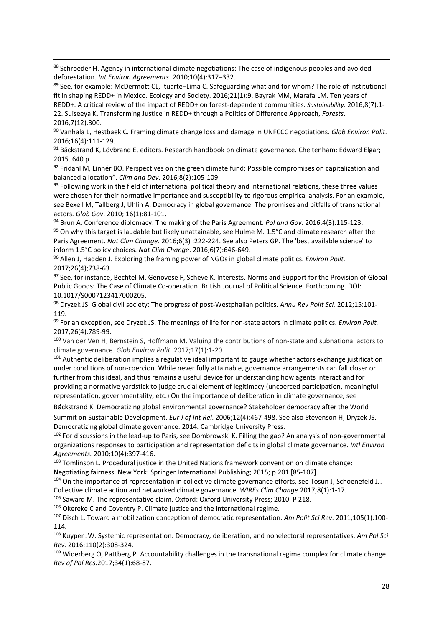88 Schroeder H. Agency in international climate negotiations: The case of indigenous peoples and avoided deforestation. *Int Environ Agreements*. 2010;10(4):317–332.

j

89 See, for example: McDermott CL, Ituarte–Lima C. Safeguarding what and for whom? The role of institutional fit in shaping REDD+ in Mexico. Ecology and Society. 2016;21(1):9. Bayrak MM, Marafa LM. Ten years of REDD+: A critical review of the impact of REDD+ on forest-dependent communities. *Sustainability*. 2016;8(7):1- 22. Suiseeya K. Transforming Justice in REDD+ through a Politics of Difference Approach, *Forests*. 2016;7(12):300.

<sup>90</sup> Vanhala L, Hestbaek C. Framing climate change loss and damage in UNFCCC negotiations*. Glob Environ Polit*. 2016;16(4):111-129.

91 Bäckstrand K, Lövbrand E, editors. Research handbook on climate governance. Cheltenham: Edward Elgar; 2015. 640 p.

92 Fridahl M, Linnér BO. Perspectives on the green climate fund: Possible compromises on capitalization and balanced allocation". *Clim and Dev*. 2016;8(2):105-109.

93 Following work in the field of international political theory and international relations, these three values were chosen for their normative importance and susceptibility to rigorous empirical analysis. For an example, see Bexell M, Tallberg J, Uhlin A. Democracy in global governance: The promises and pitfalls of transnational actors. *Glob Gov*. 2010; 16(1):81-101.

<sup>94</sup> Brun A. Conference diplomacy: The making of the Paris Agreement. *Pol and Gov*. 2016;4(3):115-123. 95 On why this target is laudable but likely unattainable, see Hulme M. 1.5°C and climate research after the Paris Agreement. *Nat Clim Change*. 2016;6(3) :222-224. See also Peters GP. The 'best available science' to inform 1.5°C policy choices. *Nat Clim Change*. 2016;6(7):646-649.

<sup>96</sup> Allen J, Hadden J. Exploring the framing power of NGOs in global climate politics. *Environ Polit.* 2017;26(4);738-63.

97 See, for instance, Bechtel M, Genovese F, Scheve K. Interests, Norms and Support for the Provision of Global Public Goods: The Case of Climate Co-operation. British Journal of Political Science. Forthcoming. DOI: 10.1017/S0007123417000205.

<sup>98</sup> Dryzek JS. Global civil society: The progress of post-Westphalian politics. *Annu Rev Polit Sci.* 2012;15:101- 119.

<sup>99</sup> For an exception, see Dryzek JS. The meanings of life for non-state actors in climate politics. *Environ Polit.* 2017;26(4):789-99.

<sup>100</sup> Van der Ven H, Bernstein S, Hoffmann M. Valuing the contributions of non-state and subnational actors to climate governance. *Glob Environ Polit*. 2017;17(1):1-20.

<sup>101</sup> Authentic deliberation implies a regulative ideal important to gauge whether actors exchange justification under conditions of non-coercion. While never fully attainable, governance arrangements can fall closer or further from this ideal, and thus remains a useful device for understanding how agents interact and for providing a normative yardstick to judge crucial element of legitimacy (uncoerced participation, meaningful representation, governmentality, etc.) On the importance of deliberation in climate governance, see

Bäckstrand K. Democratizing global environmental governance? Stakeholder democracy after the World Summit on Sustainable Development. *Eur J of Int Rel*. 2006;12(4):467-498. See also Stevenson H, Dryzek JS. Democratizing global climate governance. 2014. Cambridge University Press.

<sup>102</sup> For discussions in the lead-up to Paris, see Dombrowski K. Filling the gap? An analysis of non-governmental organizations responses to participation and representation deficits in global climate governance. *Intl Environ Agreements.* 2010;10(4):397-416.

103 Tomlinson L. Procedural justice in the United Nations framework convention on climate change: Negotiating fairness. New York: Springer International Publishing; 2015; p 201 [85-107].

<sup>104</sup> On the importance of representation in collective climate governance efforts, see Tosun J, Schoenefeld JJ.

Collective climate action and networked climate governance. *WIREs Clim Change*.2017;8(1):1-17.

<sup>105</sup> Saward M. The representative claim. Oxford: Oxford University Press; 2010. P 218.

106 Okereke C and Coventry P. Climate justice and the international regime.

<sup>107</sup> Disch L. Toward a mobilization conception of democratic representation. *Am Polit Sci Rev*. 2011;105(1):100- 114.

<sup>108</sup> Kuyper JW. Systemic representation: Democracy, deliberation, and nonelectoral representatives. *Am Pol Sci Rev.* 2016;110(2):308-324.

109 Widerberg O, Pattberg P. Accountability challenges in the transnational regime complex for climate change. *Rev of Pol Res*.2017;34(1):68-87.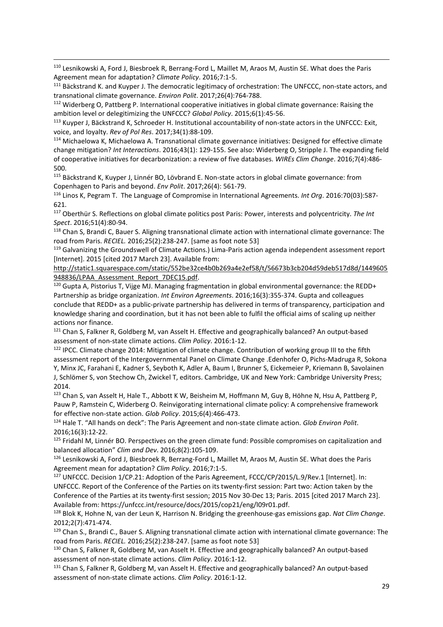<sup>110</sup> Lesnikowski A, Ford J, Biesbroek R, Berrang-Ford L, Maillet M, Araos M, Austin SE. What does the Paris Agreement mean for adaptation? *Climate Policy*. 2016;7:1-5.

j

<sup>111</sup> Bäckstrand K. and Kuyper J. The democratic legitimacy of orchestration: The UNFCCC, non-state actors, and transnational climate governance. *Environ Polit*. 2017;26(4):764-788.

<sup>112</sup> Widerberg O, Pattberg P. International cooperative initiatives in global climate governance: Raising the ambition level or delegitimizing the UNFCCC? *Global Policy*. 2015;6(1):45-56.

<sup>113</sup> Kuyper J, Bäckstrand K, Schroeder H. Institutional accountability of non-state actors in the UNFCCC: Exit, voice, and loyalty. *Rev of Pol Res*. 2017;34(1):88-109.

<sup>114</sup> Michaelowa K, Michaelowa A. Transnational climate governance initiatives: Designed for effective climate change mitigation? *Int Interactions*. 2016;43(1): 129-155. See also: Widerberg O, Stripple J. The expanding field of cooperative initiatives for decarbonization: a review of five databases. *WIREs Clim Change*. 2016;7(4):486- 500.

<sup>115</sup> Bäckstrand K, Kuyper J, Linnér BO, Lövbrand E. Non-state actors in global climate governance: from Copenhagen to Paris and beyond. *Env Polit*. 2017;26(4): 561-79.

<sup>116</sup> Linos K, Pegram T. The Language of Compromise in International Agreements. *Int Org*. 2016:70(03):587- 621.

<sup>117</sup> Oberthür S. Reflections on global climate politics post Paris: Power, interests and polycentricity. *The Int Spect*. 2016;51(4):80-94.

<sup>118</sup> Chan S, Brandi C, Bauer S. Aligning transnational climate action with international climate governance: The road from Paris. *RECIEL.* 2016;25(2):238-247. [same as foot note 53]

<sup>119</sup> Galvanizing the Groundswell of Climate Actions.) Lima-Paris action agenda independent assessment report [Internet]. 2015 [cited 2017 March 23]. Available from:

[http://static1.squarespace.com/static/552be32ce4b0b269a4e2ef58/t/56673b3cb204d59deb517d8d/1449605](http://static1.squarespace.com/static/552be32ce4b0b269a4e2ef58/t/56673b3cb204d59deb517d8d/1449605948836/LPAA_Assessment_Report_7DEC15.pdf) [948836/LPAA\\_Assessment\\_Report\\_7DEC15.pdf.](http://static1.squarespace.com/static/552be32ce4b0b269a4e2ef58/t/56673b3cb204d59deb517d8d/1449605948836/LPAA_Assessment_Report_7DEC15.pdf)

 $120$  Gupta A, Pistorius T, Vijge MJ. Managing fragmentation in global environmental governance: the REDD+ Partnership as bridge organization. *Int Environ Agreements*. 2016;16(3):355-374. Gupta and colleagues conclude that REDD+ as a public-private partnership has delivered in terms of transparency, participation and knowledge sharing and coordination, but it has not been able to fulfil the official aims of scaling up neither actions nor finance.

<sup>121</sup> Chan S, Falkner R, Goldberg M, van Asselt H. Effective and geographically balanced? An output-based assessment of non-state climate actions. *Clim Policy*. 2016:1-12.

<sup>122</sup> IPCC. Climate change 2014: Mitigation of climate change. Contribution of working group III to the fifth assessment report of the Intergovernmental Panel on Climate Change .Edenhofer O, Pichs-Madruga R, Sokona Y, Minx JC, Farahani E, Kadner S, Seyboth K, Adler A, Baum I, Brunner S, Eickemeier P, Kriemann B, Savolainen J, Schlömer S, von Stechow Ch, Zwickel T, editors. Cambridge, UK and New York: Cambridge University Press; 2014.

<sup>123</sup> Chan S, van Asselt H, Hale T., Abbott K W, Beisheim M, Hoffmann M, Guy B, Höhne N, Hsu A, Pattberg P, Pauw P, Ramstein C, Widerberg O. Reinvigorating international climate policy: A comprehensive framework for effective non-state action. *Glob Policy*. 2015;6(4):466-473.

<sup>124</sup> Hale T. "All hands on deck": The Paris Agreement and non-state climate action. *Glob Environ Polit*. 2016;16(3):12-22.

<sup>125</sup> Fridahl M, Linnér BO. Perspectives on the green climate fund: Possible compromises on capitalization and balanced allocation" *Clim and Dev*. 2016;8(2):105-109.

126 Lesnikowski A, Ford J, Biesbroek R, Berrang-Ford L, Maillet M, Araos M, Austin SE. What does the Paris Agreement mean for adaptation? *Clim Policy*. 2016;7:1-5.

<sup>127</sup> UNFCCC. Decision 1/CP.21: Adoption of the Paris Agreement, FCCC/CP/2015/L.9/Rev.1 [Internet]. In: UNFCCC. Report of the Conference of the Parties on its twenty-first session: Part two: Action taken by the Conference of the Parties at its twenty-first session; 2015 Nov 30-Dec 13; Paris. 2015 [cited 2017 March 23]. Available from: https://unfccc.int/resource/docs/2015/cop21/eng/l09r01.pdf.

<sup>128</sup> Blok K, Hohne N, van der Leun K, Harrison N. Bridging the greenhouse-gas emissions gap. *Nat Clim Change*. 2012;2(7):471-474.

129 Chan S., Brandi C., Bauer S. Aligning transnational climate action with international climate governance: The road from Paris. *RECIEL.* 2016;25(2):238-247. [same as foot note 53]

<sup>130</sup> Chan S, Falkner R, Goldberg M, van Asselt H. Effective and geographically balanced? An output-based assessment of non-state climate actions. *Clim Policy*. 2016:1-12.

<sup>131</sup> Chan S, Falkner R, Goldberg M, van Asselt H. Effective and geographically balanced? An output-based assessment of non-state climate actions. *Clim Policy*. 2016:1-12.